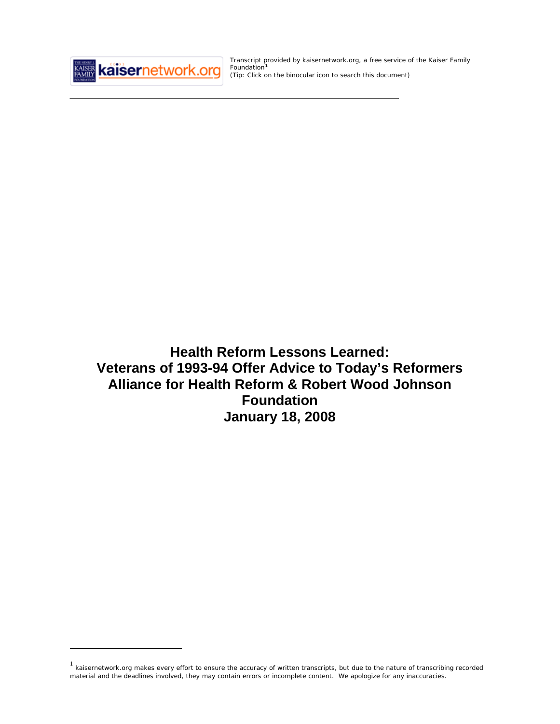

 $\overline{a}$ 

Transcript provided by kaisernetwork.org, a free service of the Kaiser Family Foundation<sup>[1](#page-0-0)</sup> *(Tip: Click on the binocular icon to search this document)* 

**Health Reform Lessons Learned: Veterans of 1993-94 Offer Advice to Today's Reformers Alliance for Health Reform & Robert Wood Johnson Foundation January 18, 2008** 

<span id="page-0-0"></span> $1$  kaisernetwork.org makes every effort to ensure the accuracy of written transcripts, but due to the nature of transcribing recorded material and the deadlines involved, they may contain errors or incomplete content. We apologize for any inaccuracies.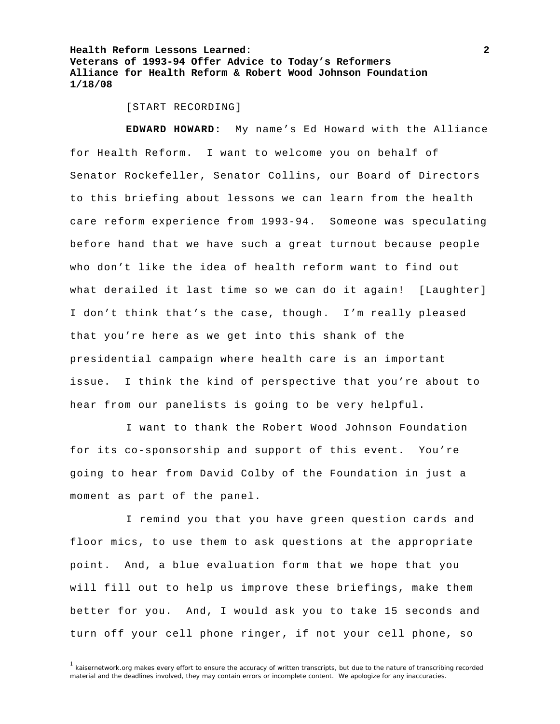[START RECORDING]

**EDWARD HOWARD:** My name's Ed Howard with the Alliance for Health Reform. I want to welcome you on behalf of Senator Rockefeller, Senator Collins, our Board of Directors to this briefing about lessons we can learn from the health care reform experience from 1993-94. Someone was speculating before hand that we have such a great turnout because people who don't like the idea of health reform want to find out what derailed it last time so we can do it again! [Laughter] I don't think that's the case, though. I'm really pleased that you're here as we get into this shank of the presidential campaign where health care is an important issue. I think the kind of perspective that you're about to hear from our panelists is going to be very helpful.

 I want to thank the Robert Wood Johnson Foundation for its co-sponsorship and support of this event. You're going to hear from David Colby of the Foundation in just a moment as part of the panel.

 I remind you that you have green question cards and floor mics, to use them to ask questions at the appropriate point. And, a blue evaluation form that we hope that you will fill out to help us improve these briefings, make them better for you. And, I would ask you to take 15 seconds and turn off your cell phone ringer, if not your cell phone, so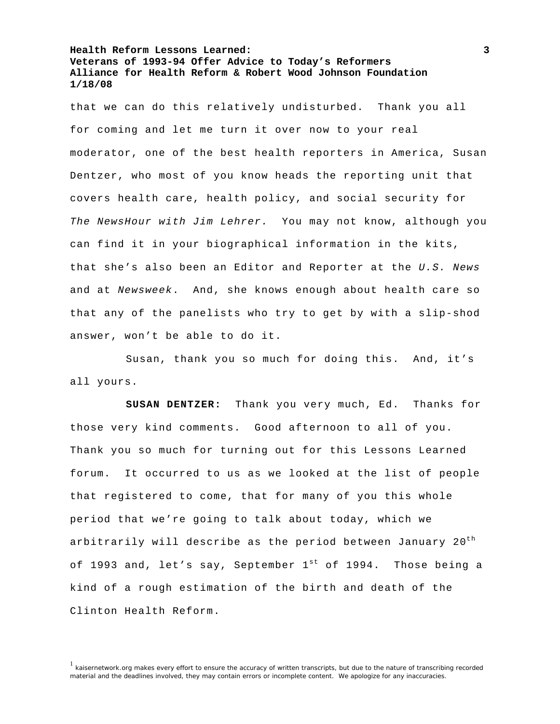that we can do this relatively undisturbed. Thank you all for coming and let me turn it over now to your real moderator, one of the best health reporters in America, Susan Dentzer, who most of you know heads the reporting unit that covers health care, health policy, and social security for *The NewsHour with Jim Lehrer.* You may not know, although you can find it in your biographical information in the kits, that she's also been an Editor and Reporter at the *U.S. News* and at *Newsweek*. And, she knows enough about health care so that any of the panelists who try to get by with a slip-shod answer, won't be able to do it.

 Susan, thank you so much for doing this. And, it's all yours.

**SUSAN DENTZER:** Thank you very much, Ed. Thanks for those very kind comments. Good afternoon to all of you. Thank you so much for turning out for this Lessons Learned forum. It occurred to us as we looked at the list of people that registered to come, that for many of you this whole period that we're going to talk about today, which we arbitrarily will describe as the period between January  $20<sup>th</sup>$ of 1993 and, let's say, September  $1^{st}$  of 1994. Those being a kind of a rough estimation of the birth and death of the Clinton Health Reform.

<sup>&</sup>lt;sup>1</sup> kaisernetwork.org makes every effort to ensure the accuracy of written transcripts, but due to the nature of transcribing recorded material and the deadlines involved, they may contain errors or incomplete content. We apologize for any inaccuracies.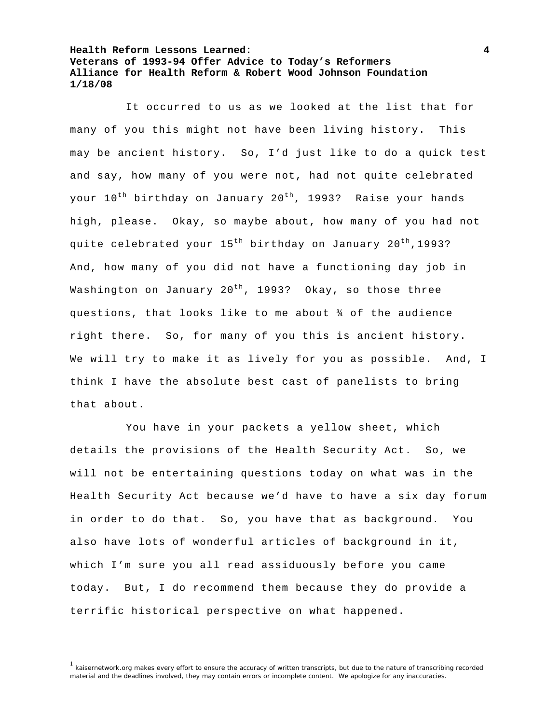It occurred to us as we looked at the list that for many of you this might not have been living history. This may be ancient history. So, I'd just like to do a quick test and say, how many of you were not, had not quite celebrated your 10<sup>th</sup> birthday on January 20<sup>th</sup>, 1993? Raise your hands high, please. Okay, so maybe about, how many of you had not quite celebrated your  $15^{th}$  birthday on January  $20^{th}$ , 1993? And, how many of you did not have a functioning day job in Washington on January 20<sup>th</sup>, 1993? Okay, so those three questions, that looks like to me about ¾ of the audience right there. So, for many of you this is ancient history. We will try to make it as lively for you as possible. And, I think I have the absolute best cast of panelists to bring that about.

 You have in your packets a yellow sheet, which details the provisions of the Health Security Act. So, we will not be entertaining questions today on what was in the Health Security Act because we'd have to have a six day forum in order to do that. So, you have that as background. You also have lots of wonderful articles of background in it, which I'm sure you all read assiduously before you came today. But, I do recommend them because they do provide a terrific historical perspective on what happened.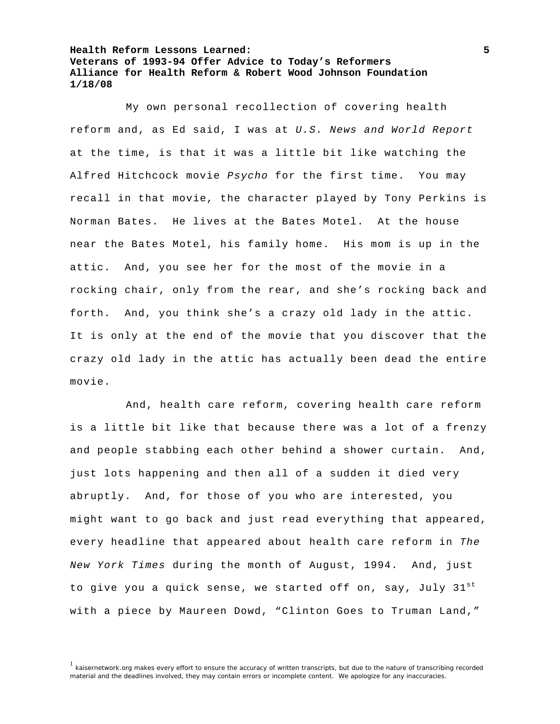My own personal recollection of covering health reform and, as Ed said, I was at *U.S. News and World Report* at the time, is that it was a little bit like watching the Alfred Hitchcock movie *Psycho* for the first time. You may recall in that movie, the character played by Tony Perkins is Norman Bates. He lives at the Bates Motel. At the house near the Bates Motel, his family home. His mom is up in the attic. And, you see her for the most of the movie in a rocking chair, only from the rear, and she's rocking back and forth. And, you think she's a crazy old lady in the attic. It is only at the end of the movie that you discover that the crazy old lady in the attic has actually been dead the entire movie.

 And, health care reform, covering health care reform is a little bit like that because there was a lot of a frenzy and people stabbing each other behind a shower curtain. And, just lots happening and then all of a sudden it died very abruptly. And, for those of you who are interested, you might want to go back and just read everything that appeared, every headline that appeared about health care reform in *The New York Times* during the month of August, 1994. And, just to give you a quick sense, we started off on, say, July 31st with a piece by Maureen Dowd, "Clinton Goes to Truman Land,"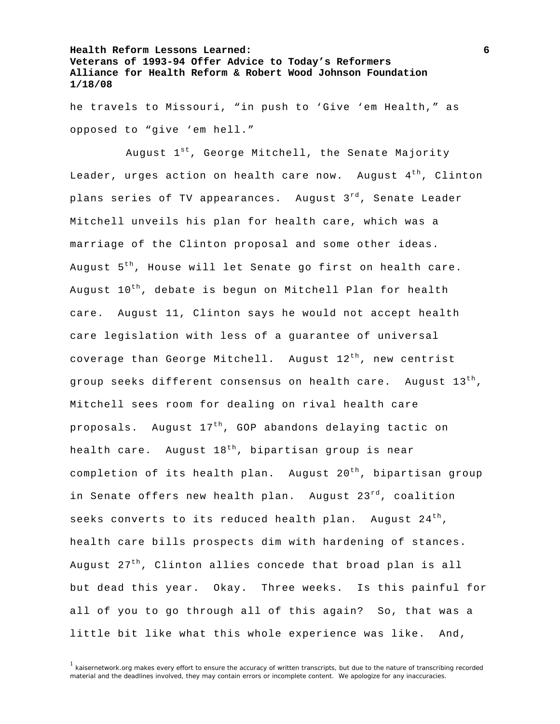he travels to Missouri, "in push to 'Give 'em Health," as opposed to "give 'em hell."

August  $1^{st}$ , George Mitchell, the Senate Majority Leader, urges action on health care now. August  $4<sup>th</sup>$ , Clinton plans series of TV appearances. August  $3^{rd}$ , Senate Leader Mitchell unveils his plan for health care, which was a marriage of the Clinton proposal and some other ideas. August  $5<sup>th</sup>$ , House will let Senate go first on health care. August 10<sup>th</sup>, debate is begun on Mitchell Plan for health care. August 11, Clinton says he would not accept health care legislation with less of a guarantee of universal coverage than George Mitchell. August  $12<sup>th</sup>$ , new centrist group seeks different consensus on health care. August  $13<sup>th</sup>$ , Mitchell sees room for dealing on rival health care proposals. August 17<sup>th</sup>, GOP abandons delaying tactic on health care. August  $18^{th}$ , bipartisan group is near completion of its health plan. August  $20^{th}$ , bipartisan group in Senate offers new health plan. August 23<sup>rd</sup>, coalition seeks converts to its reduced health plan. August  $24<sup>th</sup>$ , health care bills prospects dim with hardening of stances. August  $27<sup>th</sup>$ , Clinton allies concede that broad plan is all but dead this year. Okay. Three weeks. Is this painful for all of you to go through all of this again? So, that was a little bit like what this whole experience was like. And,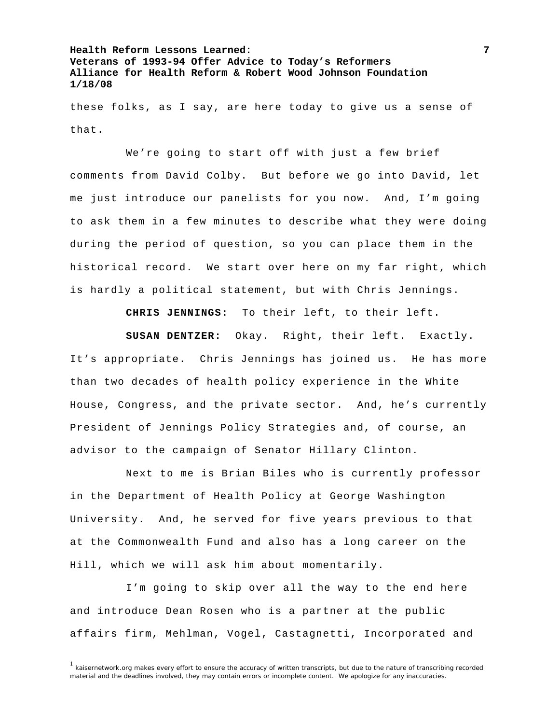these folks, as I say, are here today to give us a sense of that.

 We're going to start off with just a few brief comments from David Colby. But before we go into David, let me just introduce our panelists for you now. And, I'm going to ask them in a few minutes to describe what they were doing during the period of question, so you can place them in the historical record. We start over here on my far right, which is hardly a political statement, but with Chris Jennings.

**CHRIS JENNINGS:** To their left, to their left.

**SUSAN DENTZER:** Okay. Right, their left. Exactly. It's appropriate. Chris Jennings has joined us. He has more than two decades of health policy experience in the White House, Congress, and the private sector. And, he's currently President of Jennings Policy Strategies and, of course, an advisor to the campaign of Senator Hillary Clinton.

 Next to me is Brian Biles who is currently professor in the Department of Health Policy at George Washington University. And, he served for five years previous to that at the Commonwealth Fund and also has a long career on the Hill, which we will ask him about momentarily.

 I'm going to skip over all the way to the end here and introduce Dean Rosen who is a partner at the public affairs firm, Mehlman, Vogel, Castagnetti, Incorporated and

<sup>&</sup>lt;sup>1</sup> kaisernetwork.org makes every effort to ensure the accuracy of written transcripts, but due to the nature of transcribing recorded material and the deadlines involved, they may contain errors or incomplete content. We apologize for any inaccuracies.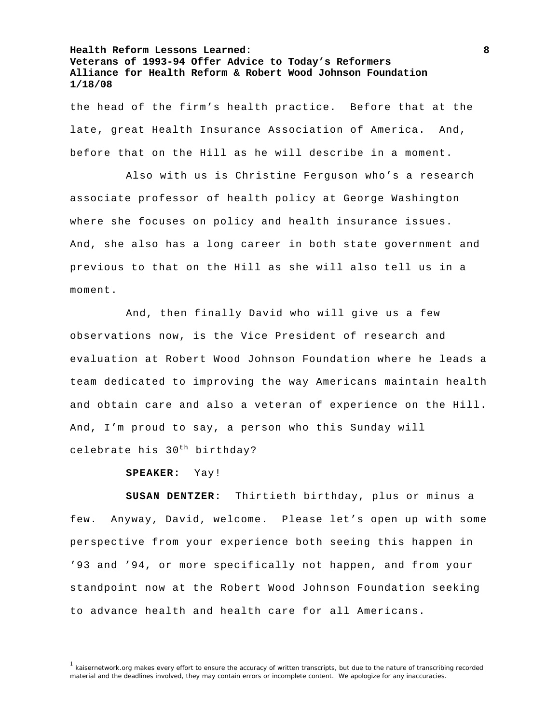the head of the firm's health practice. Before that at the late, great Health Insurance Association of America. And, before that on the Hill as he will describe in a moment.

 Also with us is Christine Ferguson who's a research associate professor of health policy at George Washington where she focuses on policy and health insurance issues. And, she also has a long career in both state government and previous to that on the Hill as she will also tell us in a moment.

 And, then finally David who will give us a few observations now, is the Vice President of research and evaluation at Robert Wood Johnson Foundation where he leads a team dedicated to improving the way Americans maintain health and obtain care and also a veteran of experience on the Hill. And, I'm proud to say, a person who this Sunday will celebrate his 30<sup>th</sup> birthday?

**SPEAKER:** Yay!

**SUSAN DENTZER:** Thirtieth birthday, plus or minus a few. Anyway, David, welcome. Please let's open up with some perspective from your experience both seeing this happen in '93 and '94, or more specifically not happen, and from your standpoint now at the Robert Wood Johnson Foundation seeking to advance health and health care for all Americans.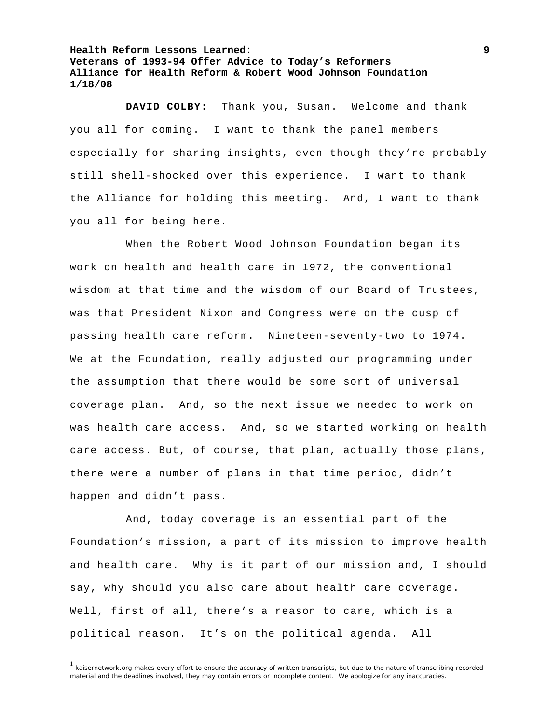**DAVID COLBY:** Thank you, Susan. Welcome and thank you all for coming. I want to thank the panel members especially for sharing insights, even though they're probably still shell-shocked over this experience. I want to thank the Alliance for holding this meeting. And, I want to thank you all for being here.

 When the Robert Wood Johnson Foundation began its work on health and health care in 1972, the conventional wisdom at that time and the wisdom of our Board of Trustees, was that President Nixon and Congress were on the cusp of passing health care reform. Nineteen-seventy-two to 1974. We at the Foundation, really adjusted our programming under the assumption that there would be some sort of universal coverage plan. And, so the next issue we needed to work on was health care access. And, so we started working on health care access. But, of course, that plan, actually those plans, there were a number of plans in that time period, didn't happen and didn't pass.

 And, today coverage is an essential part of the Foundation's mission, a part of its mission to improve health and health care. Why is it part of our mission and, I should say, why should you also care about health care coverage. Well, first of all, there's a reason to care, which is a political reason. It's on the political agenda. All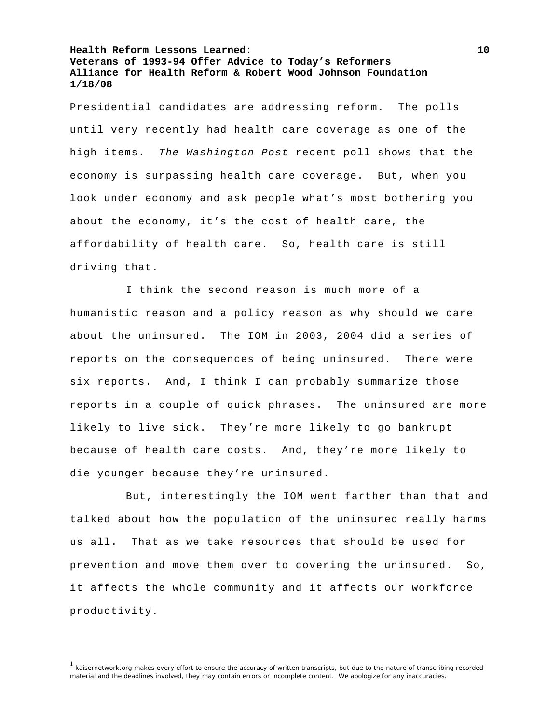Presidential candidates are addressing reform. The polls until very recently had health care coverage as one of the high items. *The Washington Post* recent poll shows that the economy is surpassing health care coverage. But, when you look under economy and ask people what's most bothering you about the economy, it's the cost of health care, the affordability of health care. So, health care is still driving that.

 I think the second reason is much more of a humanistic reason and a policy reason as why should we care about the uninsured. The IOM in 2003, 2004 did a series of reports on the consequences of being uninsured. There were six reports. And, I think I can probably summarize those reports in a couple of quick phrases. The uninsured are more likely to live sick. They're more likely to go bankrupt because of health care costs. And, they're more likely to die younger because they're uninsured.

 But, interestingly the IOM went farther than that and talked about how the population of the uninsured really harms us all. That as we take resources that should be used for prevention and move them over to covering the uninsured. So, it affects the whole community and it affects our workforce productivity.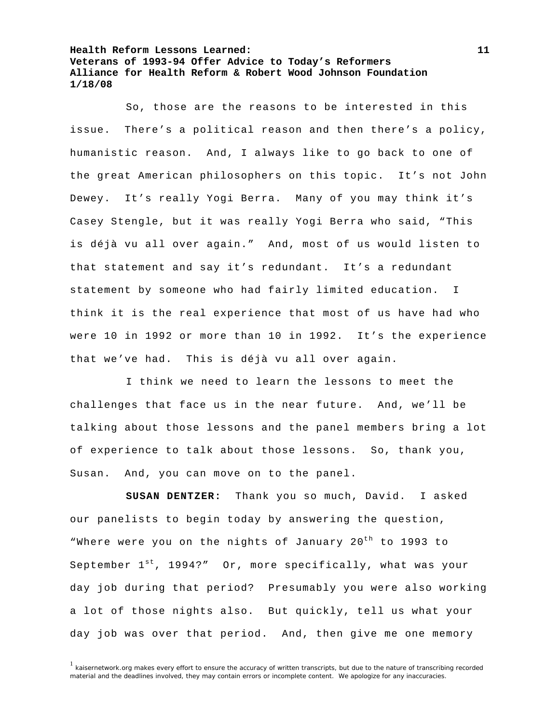So, those are the reasons to be interested in this issue. There's a political reason and then there's a policy, humanistic reason. And, I always like to go back to one of the great American philosophers on this topic. It's not John Dewey. It's really Yogi Berra. Many of you may think it's Casey Stengle, but it was really Yogi Berra who said, "This is déjà vu all over again." And, most of us would listen to that statement and say it's redundant. It's a redundant statement by someone who had fairly limited education. I think it is the real experience that most of us have had who were 10 in 1992 or more than 10 in 1992. It's the experience that we've had. This is déjà vu all over again.

 I think we need to learn the lessons to meet the challenges that face us in the near future. And, we'll be talking about those lessons and the panel members bring a lot of experience to talk about those lessons. So, thank you, Susan. And, you can move on to the panel.

**SUSAN DENTZER:** Thank you so much, David. I asked our panelists to begin today by answering the question, "Where were you on the nights of January 20<sup>th</sup> to 1993 to September  $1^{st}$ , 1994?" Or, more specifically, what was your day job during that period? Presumably you were also working a lot of those nights also. But quickly, tell us what your day job was over that period. And, then give me one memory

 $1$  kaisernetwork.org makes every effort to ensure the accuracy of written transcripts, but due to the nature of transcribing recorded material and the deadlines involved, they may contain errors or incomplete content. We apologize for any inaccuracies.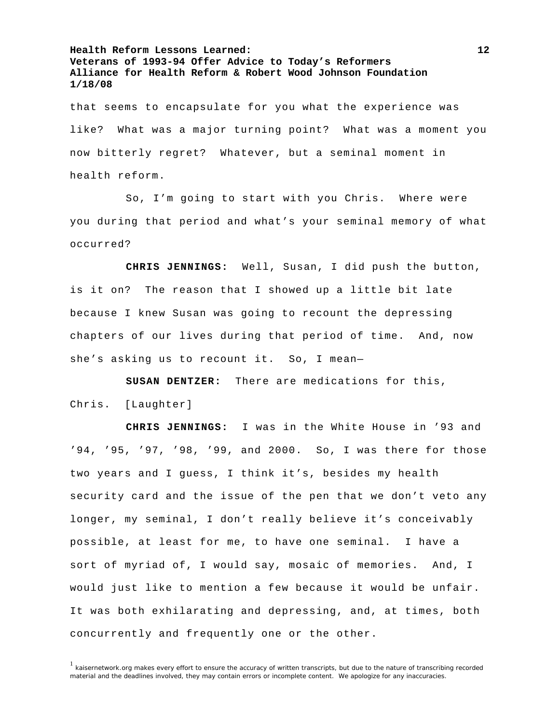that seems to encapsulate for you what the experience was like? What was a major turning point? What was a moment you now bitterly regret? Whatever, but a seminal moment in health reform.

 So, I'm going to start with you Chris. Where were you during that period and what's your seminal memory of what occurred?

**CHRIS JENNINGS:** Well, Susan, I did push the button, is it on? The reason that I showed up a little bit late because I knew Susan was going to recount the depressing chapters of our lives during that period of time. And, now she's asking us to recount it. So, I mean—

**SUSAN DENTZER:** There are medications for this, Chris. [Laughter]

**CHRIS JENNINGS:** I was in the White House in '93 and '94, '95, '97, '98, '99, and 2000. So, I was there for those two years and I guess, I think it's, besides my health security card and the issue of the pen that we don't veto any longer, my seminal, I don't really believe it's conceivably possible, at least for me, to have one seminal. I have a sort of myriad of, I would say, mosaic of memories. And, I would just like to mention a few because it would be unfair. It was both exhilarating and depressing, and, at times, both concurrently and frequently one or the other.

<sup>&</sup>lt;sup>1</sup> kaisernetwork.org makes every effort to ensure the accuracy of written transcripts, but due to the nature of transcribing recorded material and the deadlines involved, they may contain errors or incomplete content. We apologize for any inaccuracies.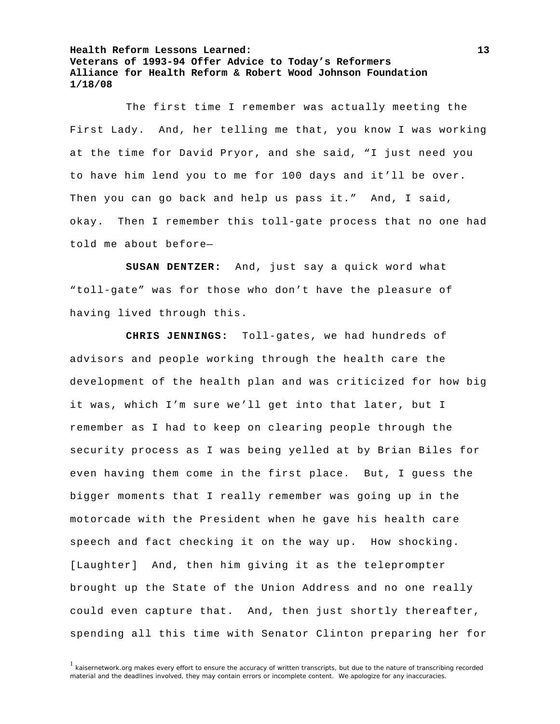The first time I remember was actually meeting the First Lady. And, her telling me that, you know I was working at the time for David Pryor, and she said, "I just need you to have him lend you to me for 100 days and it'll be over. Then you can go back and help us pass it." And, I said, okay. Then I remember this toll-gate process that no one had told me about before—

**SUSAN DENTZER:** And, just say a quick word what "toll-gate" was for those who don't have the pleasure of having lived through this.

**CHRIS JENNINGS:** Toll-gates, we had hundreds of advisors and people working through the health care the development of the health plan and was criticized for how big it was, which I'm sure we'll get into that later, but I remember as I had to keep on clearing people through the security process as I was being yelled at by Brian Biles for even having them come in the first place. But, I guess the bigger moments that I really remember was going up in the motorcade with the President when he gave his health care speech and fact checking it on the way up. How shocking. [Laughter] And, then him giving it as the teleprompter brought up the State of the Union Address and no one really could even capture that. And, then just shortly thereafter, spending all this time with Senator Clinton preparing her for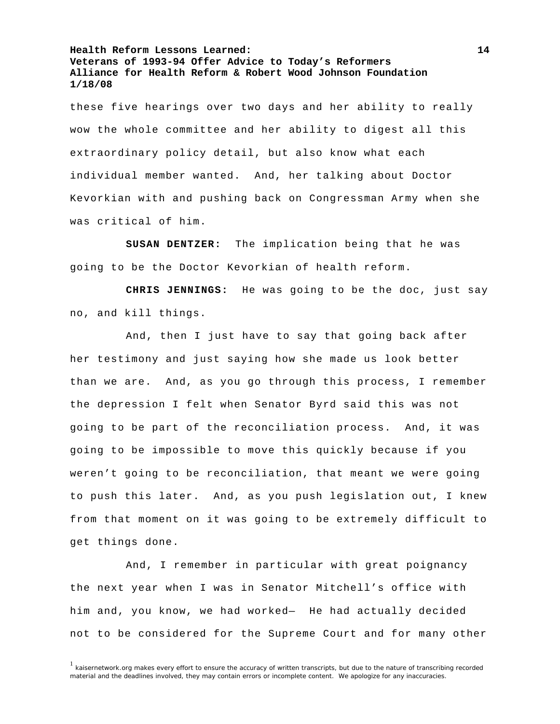these five hearings over two days and her ability to really wow the whole committee and her ability to digest all this extraordinary policy detail, but also know what each individual member wanted. And, her talking about Doctor Kevorkian with and pushing back on Congressman Army when she was critical of him.

**SUSAN DENTZER:** The implication being that he was going to be the Doctor Kevorkian of health reform.

**CHRIS JENNINGS:** He was going to be the doc, just say no, and kill things.

 And, then I just have to say that going back after her testimony and just saying how she made us look better than we are. And, as you go through this process, I remember the depression I felt when Senator Byrd said this was not going to be part of the reconciliation process. And, it was going to be impossible to move this quickly because if you weren't going to be reconciliation, that meant we were going to push this later. And, as you push legislation out, I knew from that moment on it was going to be extremely difficult to get things done.

 And, I remember in particular with great poignancy the next year when I was in Senator Mitchell's office with him and, you know, we had worked— He had actually decided not to be considered for the Supreme Court and for many other

<sup>&</sup>lt;sup>1</sup> kaisernetwork.org makes every effort to ensure the accuracy of written transcripts, but due to the nature of transcribing recorded material and the deadlines involved, they may contain errors or incomplete content. We apologize for any inaccuracies.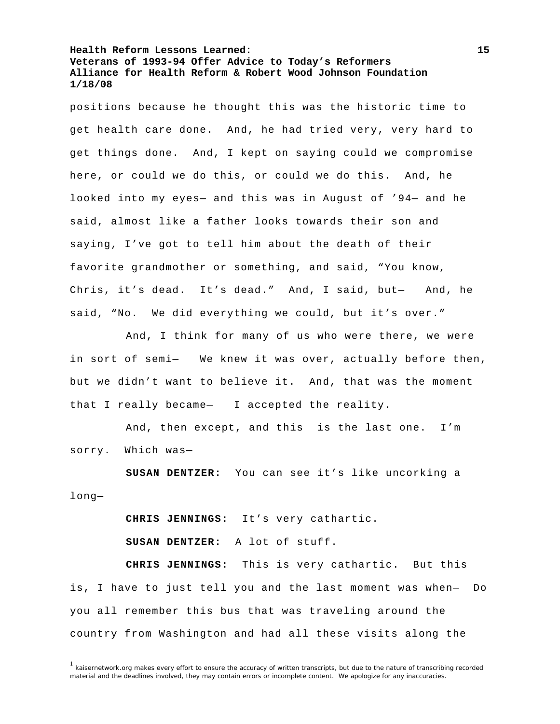positions because he thought this was the historic time to get health care done. And, he had tried very, very hard to get things done. And, I kept on saying could we compromise here, or could we do this, or could we do this. And, he looked into my eyes— and this was in August of '94— and he said, almost like a father looks towards their son and saying, I've got to tell him about the death of their favorite grandmother or something, and said, "You know, Chris, it's dead. It's dead." And, I said, but— And, he said, "No. We did everything we could, but it's over."

 And, I think for many of us who were there, we were in sort of semi— We knew it was over, actually before then, but we didn't want to believe it. And, that was the moment that I really became— I accepted the reality.

 And, then except, and this is the last one. I'm sorry. Which was—

**SUSAN DENTZER:** You can see it's like uncorking a long—

**CHRIS JENNINGS:** It's very cathartic.

**SUSAN DENTZER:** A lot of stuff.

**CHRIS JENNINGS:** This is very cathartic. But this is, I have to just tell you and the last moment was when— Do you all remember this bus that was traveling around the country from Washington and had all these visits along the

 $1$  kaisernetwork.org makes every effort to ensure the accuracy of written transcripts, but due to the nature of transcribing recorded material and the deadlines involved, they may contain errors or incomplete content. We apologize for any inaccuracies.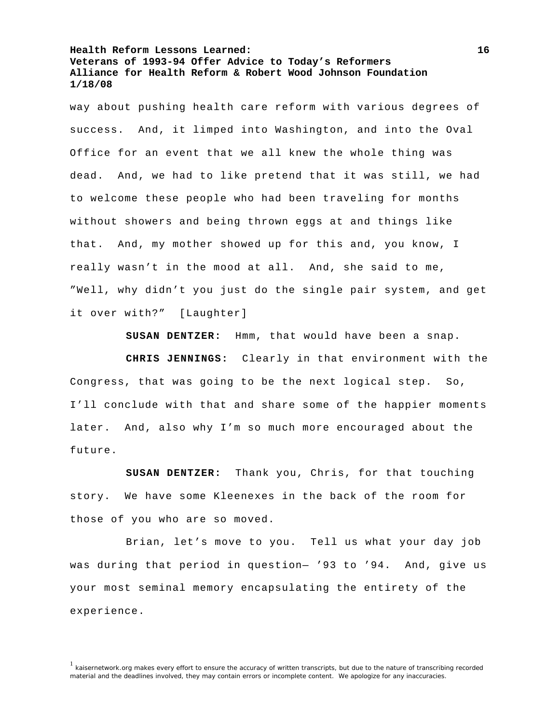way about pushing health care reform with various degrees of success. And, it limped into Washington, and into the Oval Office for an event that we all knew the whole thing was dead. And, we had to like pretend that it was still, we had to welcome these people who had been traveling for months without showers and being thrown eggs at and things like that. And, my mother showed up for this and, you know, I really wasn't in the mood at all. And, she said to me, "Well, why didn't you just do the single pair system, and get it over with?" [Laughter]

**SUSAN DENTZER:** Hmm, that would have been a snap.

**CHRIS JENNINGS:** Clearly in that environment with the Congress, that was going to be the next logical step. So, I'll conclude with that and share some of the happier moments later. And, also why I'm so much more encouraged about the future.

**SUSAN DENTZER:** Thank you, Chris, for that touching story. We have some Kleenexes in the back of the room for those of you who are so moved.

 Brian, let's move to you. Tell us what your day job was during that period in question— '93 to '94. And, give us your most seminal memory encapsulating the entirety of the experience.

<sup>&</sup>lt;sup>1</sup> kaisernetwork.org makes every effort to ensure the accuracy of written transcripts, but due to the nature of transcribing recorded material and the deadlines involved, they may contain errors or incomplete content. We apologize for any inaccuracies.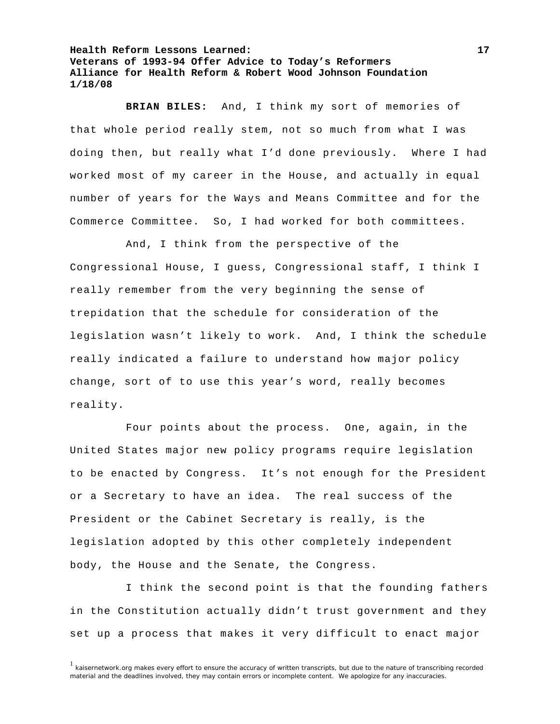**BRIAN BILES:** And, I think my sort of memories of that whole period really stem, not so much from what I was doing then, but really what I'd done previously. Where I had worked most of my career in the House, and actually in equal number of years for the Ways and Means Committee and for the Commerce Committee. So, I had worked for both committees.

 And, I think from the perspective of the Congressional House, I guess, Congressional staff, I think I really remember from the very beginning the sense of trepidation that the schedule for consideration of the legislation wasn't likely to work. And, I think the schedule really indicated a failure to understand how major policy change, sort of to use this year's word, really becomes reality.

 Four points about the process. One, again, in the United States major new policy programs require legislation to be enacted by Congress. It's not enough for the President or a Secretary to have an idea. The real success of the President or the Cabinet Secretary is really, is the legislation adopted by this other completely independent body, the House and the Senate, the Congress.

 I think the second point is that the founding fathers in the Constitution actually didn't trust government and they set up a process that makes it very difficult to enact major

 $1$  kaisernetwork.org makes every effort to ensure the accuracy of written transcripts, but due to the nature of transcribing recorded material and the deadlines involved, they may contain errors or incomplete content. We apologize for any inaccuracies.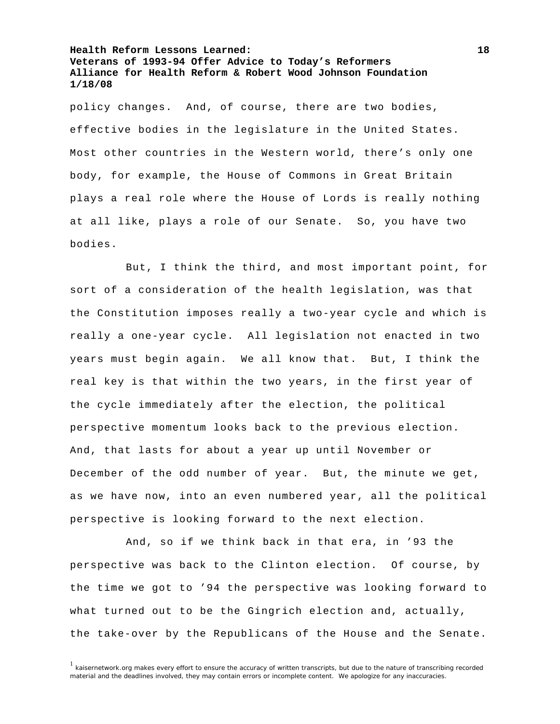policy changes. And, of course, there are two bodies, effective bodies in the legislature in the United States. Most other countries in the Western world, there's only one body, for example, the House of Commons in Great Britain plays a real role where the House of Lords is really nothing at all like, plays a role of our Senate. So, you have two bodies.

 But, I think the third, and most important point, for sort of a consideration of the health legislation, was that the Constitution imposes really a two-year cycle and which is really a one-year cycle. All legislation not enacted in two years must begin again. We all know that. But, I think the real key is that within the two years, in the first year of the cycle immediately after the election, the political perspective momentum looks back to the previous election. And, that lasts for about a year up until November or December of the odd number of year. But, the minute we get, as we have now, into an even numbered year, all the political perspective is looking forward to the next election.

 And, so if we think back in that era, in '93 the perspective was back to the Clinton election. Of course, by the time we got to '94 the perspective was looking forward to what turned out to be the Gingrich election and, actually, the take-over by the Republicans of the House and the Senate.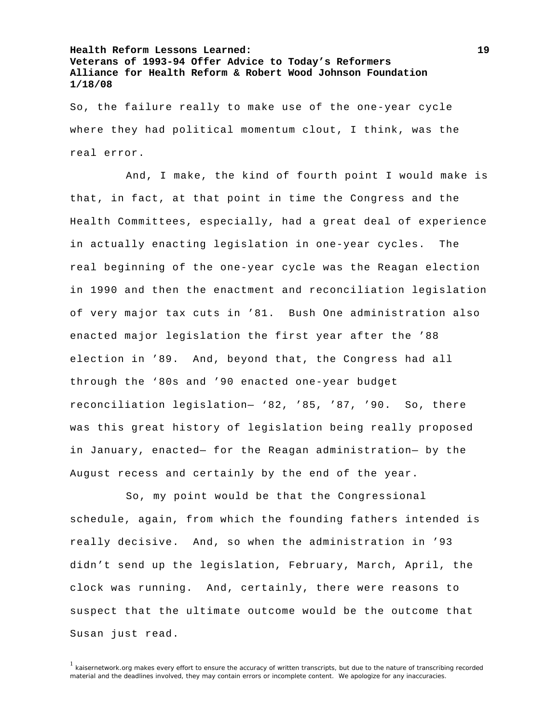So, the failure really to make use of the one-year cycle where they had political momentum clout, I think, was the real error.

 And, I make, the kind of fourth point I would make is that, in fact, at that point in time the Congress and the Health Committees, especially, had a great deal of experience in actually enacting legislation in one-year cycles. The real beginning of the one-year cycle was the Reagan election in 1990 and then the enactment and reconciliation legislation of very major tax cuts in '81. Bush One administration also enacted major legislation the first year after the '88 election in '89. And, beyond that, the Congress had all through the '80s and '90 enacted one-year budget reconciliation legislation— '82, '85, '87, '90. So, there was this great history of legislation being really proposed in January, enacted— for the Reagan administration— by the August recess and certainly by the end of the year.

 So, my point would be that the Congressional schedule, again, from which the founding fathers intended is really decisive. And, so when the administration in '93 didn't send up the legislation, February, March, April, the clock was running. And, certainly, there were reasons to suspect that the ultimate outcome would be the outcome that Susan just read.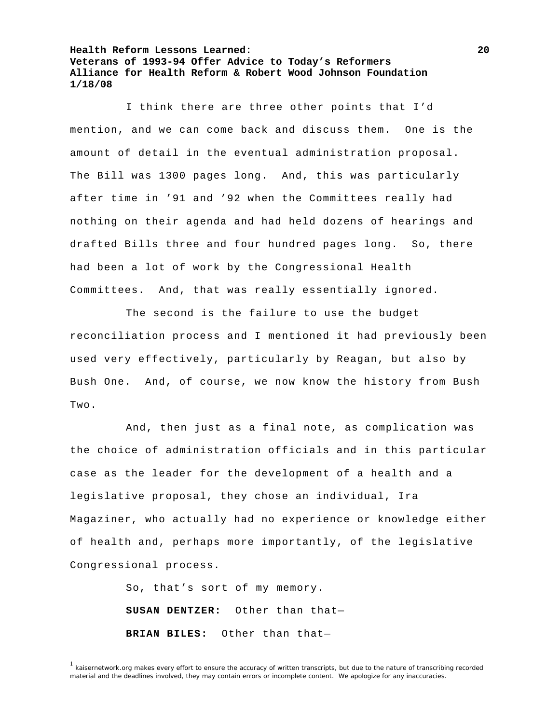I think there are three other points that I'd mention, and we can come back and discuss them. One is the amount of detail in the eventual administration proposal. The Bill was 1300 pages long. And, this was particularly after time in '91 and '92 when the Committees really had nothing on their agenda and had held dozens of hearings and drafted Bills three and four hundred pages long. So, there had been a lot of work by the Congressional Health Committees. And, that was really essentially ignored.

 The second is the failure to use the budget reconciliation process and I mentioned it had previously been used very effectively, particularly by Reagan, but also by Bush One. And, of course, we now know the history from Bush Two.

 And, then just as a final note, as complication was the choice of administration officials and in this particular case as the leader for the development of a health and a legislative proposal, they chose an individual, Ira Magaziner, who actually had no experience or knowledge either of health and, perhaps more importantly, of the legislative Congressional process.

> So, that's sort of my memory. **SUSAN DENTZER:** Other than that— **BRIAN BILES:** Other than that—

<sup>&</sup>lt;sup>1</sup> kaisernetwork.org makes every effort to ensure the accuracy of written transcripts, but due to the nature of transcribing recorded material and the deadlines involved, they may contain errors or incomplete content. We apologize for any inaccuracies.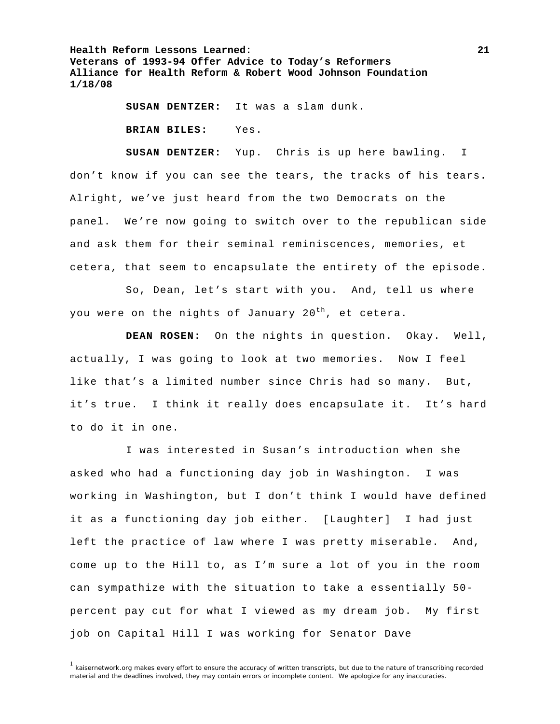**SUSAN DENTZER:** It was a slam dunk.

**BRIAN BILES:** Yes.

**SUSAN DENTZER:** Yup. Chris is up here bawling. I don't know if you can see the tears, the tracks of his tears. Alright, we've just heard from the two Democrats on the panel. We're now going to switch over to the republican side and ask them for their seminal reminiscences, memories, et cetera, that seem to encapsulate the entirety of the episode.

 So, Dean, let's start with you. And, tell us where you were on the nights of January  $20^{th}$ , et cetera.

**DEAN ROSEN:** On the nights in question. Okay. Well, actually, I was going to look at two memories. Now I feel like that's a limited number since Chris had so many. But, it's true. I think it really does encapsulate it. It's hard to do it in one.

 I was interested in Susan's introduction when she asked who had a functioning day job in Washington. I was working in Washington, but I don't think I would have defined it as a functioning day job either. [Laughter] I had just left the practice of law where I was pretty miserable. And, come up to the Hill to, as I'm sure a lot of you in the room can sympathize with the situation to take a essentially 50 percent pay cut for what I viewed as my dream job. My first job on Capital Hill I was working for Senator Dave

 $1$  kaisernetwork.org makes every effort to ensure the accuracy of written transcripts, but due to the nature of transcribing recorded material and the deadlines involved, they may contain errors or incomplete content. We apologize for any inaccuracies.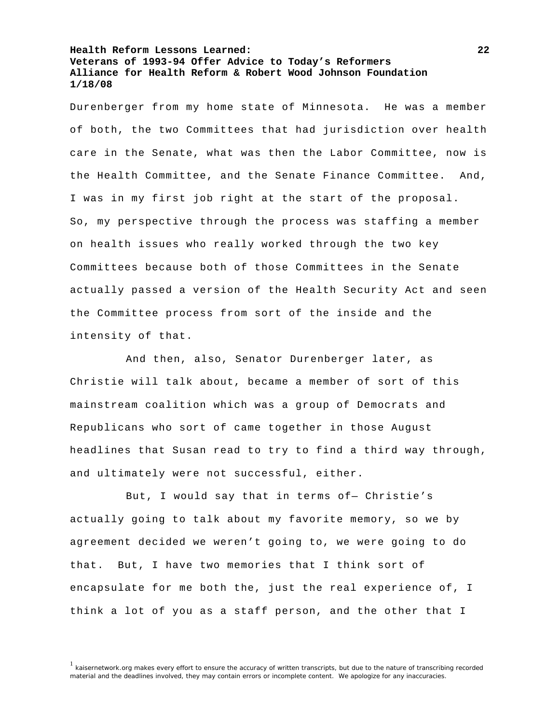Durenberger from my home state of Minnesota. He was a member of both, the two Committees that had jurisdiction over health care in the Senate, what was then the Labor Committee, now is the Health Committee, and the Senate Finance Committee. And, I was in my first job right at the start of the proposal. So, my perspective through the process was staffing a member on health issues who really worked through the two key Committees because both of those Committees in the Senate actually passed a version of the Health Security Act and seen the Committee process from sort of the inside and the intensity of that.

 And then, also, Senator Durenberger later, as Christie will talk about, became a member of sort of this mainstream coalition which was a group of Democrats and Republicans who sort of came together in those August headlines that Susan read to try to find a third way through, and ultimately were not successful, either.

 But, I would say that in terms of— Christie's actually going to talk about my favorite memory, so we by agreement decided we weren't going to, we were going to do that. But, I have two memories that I think sort of encapsulate for me both the, just the real experience of, I think a lot of you as a staff person, and the other that I

<sup>&</sup>lt;sup>1</sup> kaisernetwork.org makes every effort to ensure the accuracy of written transcripts, but due to the nature of transcribing recorded material and the deadlines involved, they may contain errors or incomplete content. We apologize for any inaccuracies.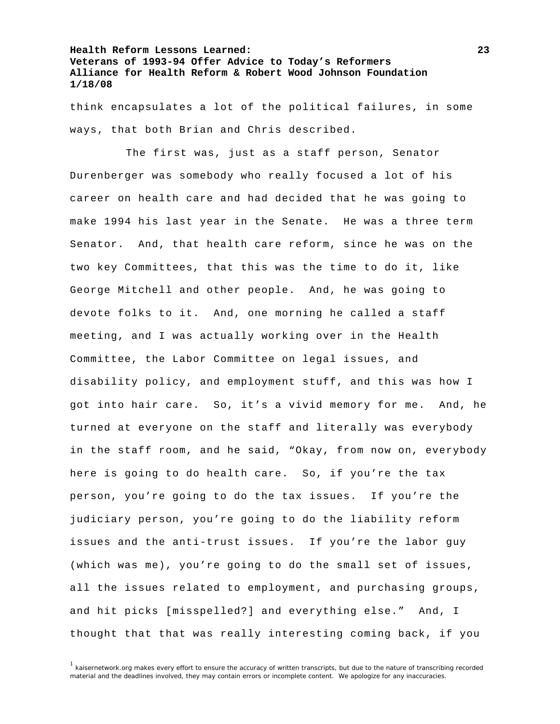think encapsulates a lot of the political failures, in some ways, that both Brian and Chris described.

 The first was, just as a staff person, Senator Durenberger was somebody who really focused a lot of his career on health care and had decided that he was going to make 1994 his last year in the Senate. He was a three term Senator. And, that health care reform, since he was on the two key Committees, that this was the time to do it, like George Mitchell and other people. And, he was going to devote folks to it. And, one morning he called a staff meeting, and I was actually working over in the Health Committee, the Labor Committee on legal issues, and disability policy, and employment stuff, and this was how I got into hair care. So, it's a vivid memory for me. And, he turned at everyone on the staff and literally was everybody in the staff room, and he said, "Okay, from now on, everybody here is going to do health care. So, if you're the tax person, you're going to do the tax issues. If you're the judiciary person, you're going to do the liability reform issues and the anti-trust issues. If you're the labor guy (which was me), you're going to do the small set of issues, all the issues related to employment, and purchasing groups, and hit picks [misspelled?] and everything else." And, I thought that that was really interesting coming back, if you

 $1$  kaisernetwork.org makes every effort to ensure the accuracy of written transcripts, but due to the nature of transcribing recorded material and the deadlines involved, they may contain errors or incomplete content. We apologize for any inaccuracies.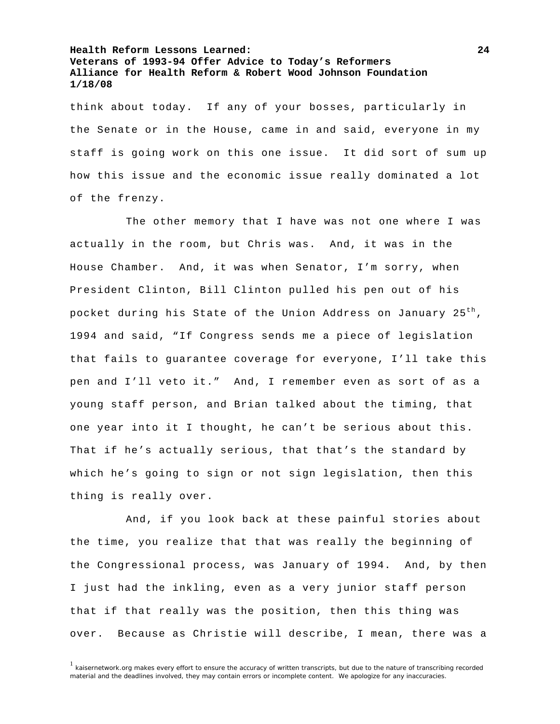think about today. If any of your bosses, particularly in the Senate or in the House, came in and said, everyone in my staff is going work on this one issue. It did sort of sum up how this issue and the economic issue really dominated a lot of the frenzy.

 The other memory that I have was not one where I was actually in the room, but Chris was. And, it was in the House Chamber. And, it was when Senator, I'm sorry, when President Clinton, Bill Clinton pulled his pen out of his pocket during his State of the Union Address on January 25<sup>th</sup>, 1994 and said, "If Congress sends me a piece of legislation that fails to guarantee coverage for everyone, I'll take this pen and I'll veto it." And, I remember even as sort of as a young staff person, and Brian talked about the timing, that one year into it I thought, he can't be serious about this. That if he's actually serious, that that's the standard by which he's going to sign or not sign legislation, then this thing is really over.

 And, if you look back at these painful stories about the time, you realize that that was really the beginning of the Congressional process, was January of 1994. And, by then I just had the inkling, even as a very junior staff person that if that really was the position, then this thing was over. Because as Christie will describe, I mean, there was a

<sup>&</sup>lt;sup>1</sup> kaisernetwork.org makes every effort to ensure the accuracy of written transcripts, but due to the nature of transcribing recorded material and the deadlines involved, they may contain errors or incomplete content. We apologize for any inaccuracies.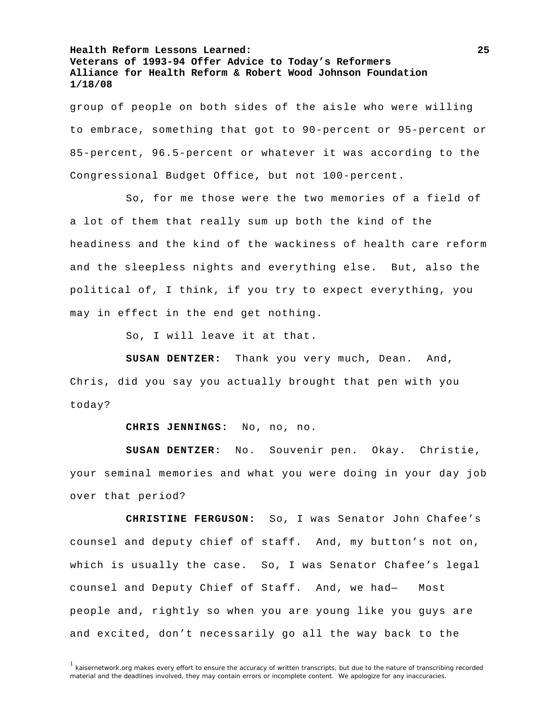group of people on both sides of the aisle who were willing to embrace, something that got to 90-percent or 95-percent or 85-percent, 96.5-percent or whatever it was according to the Congressional Budget Office, but not 100-percent.

 So, for me those were the two memories of a field of a lot of them that really sum up both the kind of the headiness and the kind of the wackiness of health care reform and the sleepless nights and everything else. But, also the political of, I think, if you try to expect everything, you may in effect in the end get nothing.

So, I will leave it at that.

**SUSAN DENTZER:** Thank you very much, Dean. And, Chris, did you say you actually brought that pen with you today?

**CHRIS JENNINGS:** No, no, no.

**SUSAN DENTZER:** No. Souvenir pen. Okay. Christie, your seminal memories and what you were doing in your day job over that period?

**CHRISTINE FERGUSON:** So, I was Senator John Chafee's counsel and deputy chief of staff. And, my button's not on, which is usually the case. So, I was Senator Chafee's legal counsel and Deputy Chief of Staff. And, we had— Most people and, rightly so when you are young like you guys are and excited, don't necessarily go all the way back to the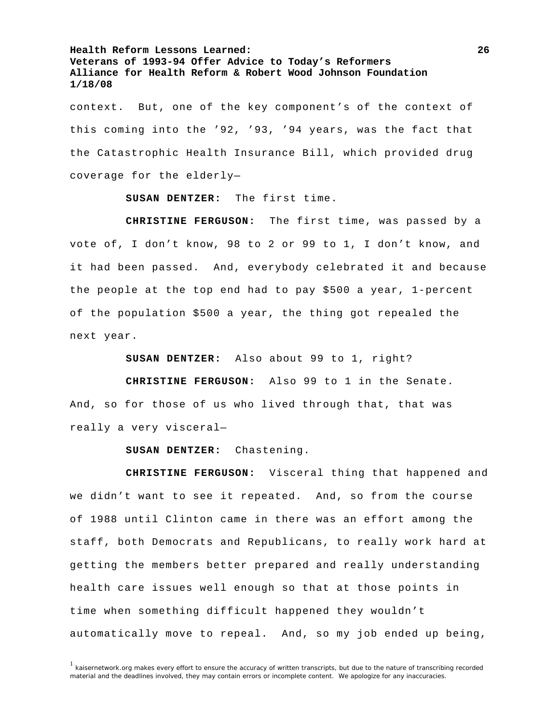context. But, one of the key component's of the context of this coming into the '92, '93, '94 years, was the fact that the Catastrophic Health Insurance Bill, which provided drug coverage for the elderly—

**SUSAN DENTZER:** The first time.

**CHRISTINE FERGUSON:** The first time, was passed by a vote of, I don't know, 98 to 2 or 99 to 1, I don't know, and it had been passed. And, everybody celebrated it and because the people at the top end had to pay \$500 a year, 1-percent of the population \$500 a year, the thing got repealed the next year.

**SUSAN DENTZER:** Also about 99 to 1, right?

**CHRISTINE FERGUSON:** Also 99 to 1 in the Senate. And, so for those of us who lived through that, that was really a very visceral—

**SUSAN DENTZER:** Chastening.

**CHRISTINE FERGUSON:** Visceral thing that happened and we didn't want to see it repeated. And, so from the course of 1988 until Clinton came in there was an effort among the staff, both Democrats and Republicans, to really work hard at getting the members better prepared and really understanding health care issues well enough so that at those points in time when something difficult happened they wouldn't automatically move to repeal. And, so my job ended up being,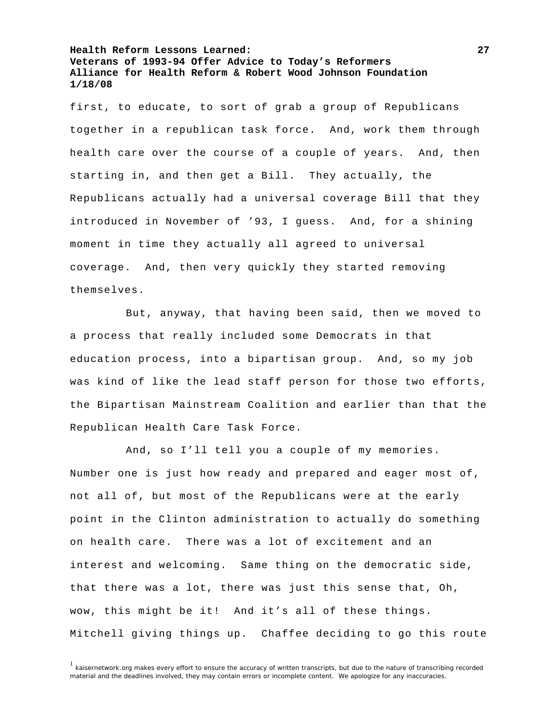first, to educate, to sort of grab a group of Republicans together in a republican task force. And, work them through health care over the course of a couple of years. And, then starting in, and then get a Bill. They actually, the Republicans actually had a universal coverage Bill that they introduced in November of '93, I guess. And, for a shining moment in time they actually all agreed to universal coverage. And, then very quickly they started removing themselves.

 But, anyway, that having been said, then we moved to a process that really included some Democrats in that education process, into a bipartisan group. And, so my job was kind of like the lead staff person for those two efforts, the Bipartisan Mainstream Coalition and earlier than that the Republican Health Care Task Force.

 And, so I'll tell you a couple of my memories. Number one is just how ready and prepared and eager most of, not all of, but most of the Republicans were at the early point in the Clinton administration to actually do something on health care. There was a lot of excitement and an interest and welcoming. Same thing on the democratic side, that there was a lot, there was just this sense that, Oh, wow, this might be it! And it's all of these things. Mitchell giving things up. Chaffee deciding to go this route

 $1$  kaisernetwork.org makes every effort to ensure the accuracy of written transcripts, but due to the nature of transcribing recorded material and the deadlines involved, they may contain errors or incomplete content. We apologize for any inaccuracies.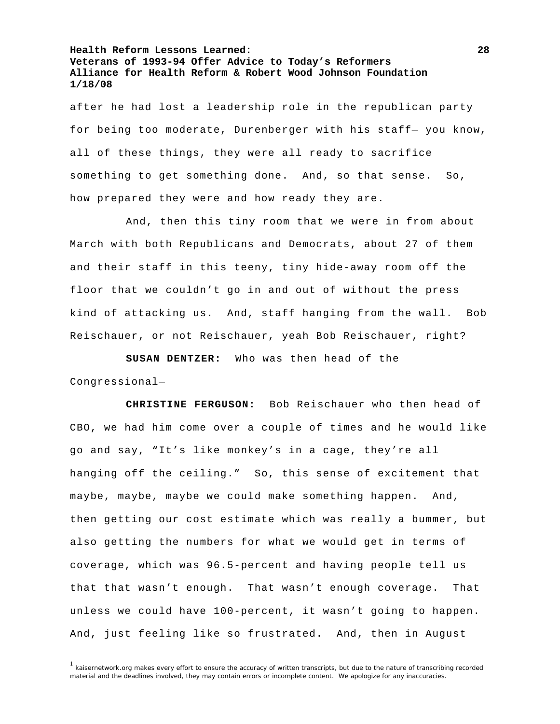after he had lost a leadership role in the republican party for being too moderate, Durenberger with his staff— you know, all of these things, they were all ready to sacrifice something to get something done. And, so that sense. So, how prepared they were and how ready they are.

 And, then this tiny room that we were in from about March with both Republicans and Democrats, about 27 of them and their staff in this teeny, tiny hide-away room off the floor that we couldn't go in and out of without the press kind of attacking us. And, staff hanging from the wall. Bob Reischauer, or not Reischauer, yeah Bob Reischauer, right?

**SUSAN DENTZER:** Who was then head of the Congressional—

**CHRISTINE FERGUSON:** Bob Reischauer who then head of CBO, we had him come over a couple of times and he would like go and say, "It's like monkey's in a cage, they're all hanging off the ceiling." So, this sense of excitement that maybe, maybe, maybe we could make something happen. And, then getting our cost estimate which was really a bummer, but also getting the numbers for what we would get in terms of coverage, which was 96.5-percent and having people tell us that that wasn't enough. That wasn't enough coverage. That unless we could have 100-percent, it wasn't going to happen. And, just feeling like so frustrated. And, then in August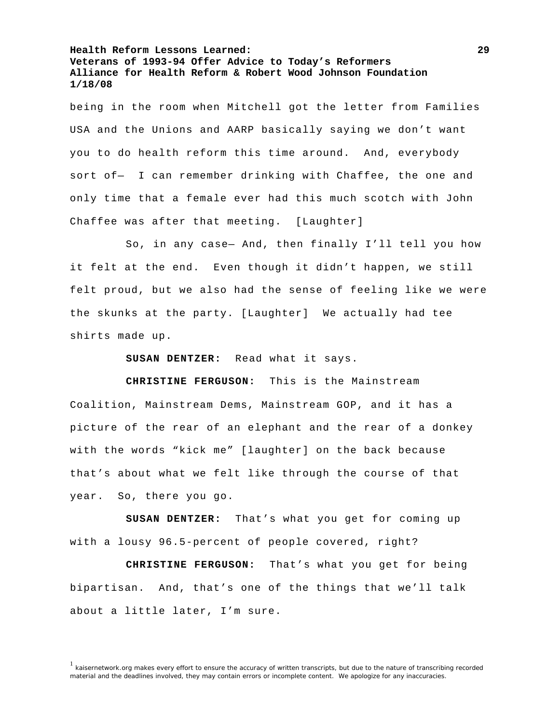being in the room when Mitchell got the letter from Families USA and the Unions and AARP basically saying we don't want you to do health reform this time around. And, everybody sort of— I can remember drinking with Chaffee, the one and only time that a female ever had this much scotch with John Chaffee was after that meeting. [Laughter]

 So, in any case— And, then finally I'll tell you how it felt at the end. Even though it didn't happen, we still felt proud, but we also had the sense of feeling like we were the skunks at the party. [Laughter] We actually had tee shirts made up.

**SUSAN DENTZER:** Read what it says.

**CHRISTINE FERGUSON:** This is the Mainstream Coalition, Mainstream Dems, Mainstream GOP, and it has a picture of the rear of an elephant and the rear of a donkey with the words "kick me" [laughter] on the back because that's about what we felt like through the course of that year. So, there you go.

**SUSAN DENTZER:** That's what you get for coming up with a lousy 96.5-percent of people covered, right?

**CHRISTINE FERGUSON:** That's what you get for being bipartisan. And, that's one of the things that we'll talk about a little later, I'm sure.

<sup>&</sup>lt;sup>1</sup> kaisernetwork.org makes every effort to ensure the accuracy of written transcripts, but due to the nature of transcribing recorded material and the deadlines involved, they may contain errors or incomplete content. We apologize for any inaccuracies.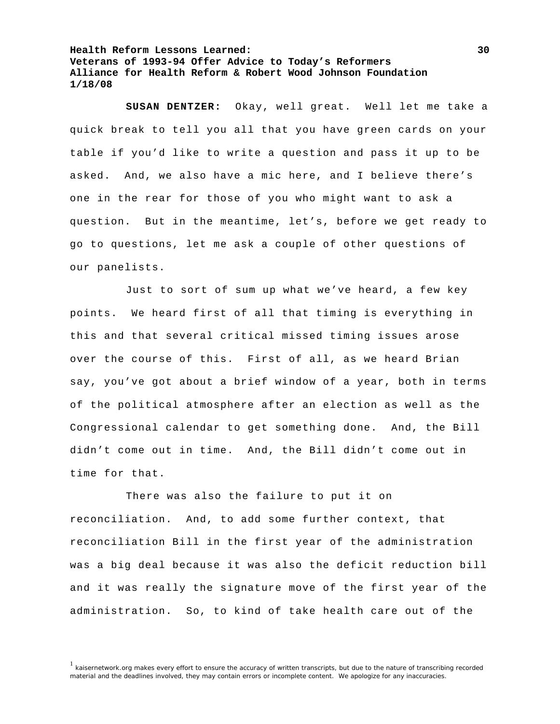**SUSAN DENTZER:** Okay, well great. Well let me take a quick break to tell you all that you have green cards on your table if you'd like to write a question and pass it up to be asked. And, we also have a mic here, and I believe there's one in the rear for those of you who might want to ask a question. But in the meantime, let's, before we get ready to go to questions, let me ask a couple of other questions of our panelists.

 Just to sort of sum up what we've heard, a few key points. We heard first of all that timing is everything in this and that several critical missed timing issues arose over the course of this. First of all, as we heard Brian say, you've got about a brief window of a year, both in terms of the political atmosphere after an election as well as the Congressional calendar to get something done. And, the Bill didn't come out in time. And, the Bill didn't come out in time for that.

 There was also the failure to put it on reconciliation. And, to add some further context, that reconciliation Bill in the first year of the administration was a big deal because it was also the deficit reduction bill and it was really the signature move of the first year of the administration. So, to kind of take health care out of the

<sup>&</sup>lt;sup>1</sup> kaisernetwork.org makes every effort to ensure the accuracy of written transcripts, but due to the nature of transcribing recorded material and the deadlines involved, they may contain errors or incomplete content. We apologize for any inaccuracies.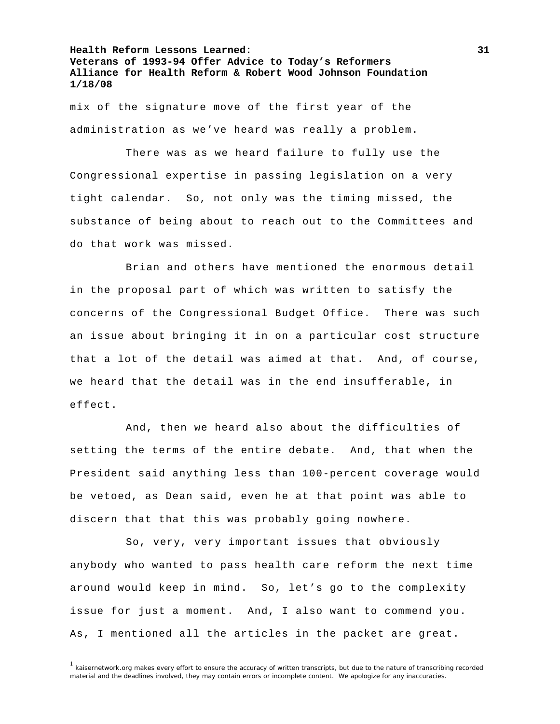mix of the signature move of the first year of the administration as we've heard was really a problem.

 There was as we heard failure to fully use the Congressional expertise in passing legislation on a very tight calendar. So, not only was the timing missed, the substance of being about to reach out to the Committees and do that work was missed.

 Brian and others have mentioned the enormous detail in the proposal part of which was written to satisfy the concerns of the Congressional Budget Office. There was such an issue about bringing it in on a particular cost structure that a lot of the detail was aimed at that. And, of course, we heard that the detail was in the end insufferable, in effect.

 And, then we heard also about the difficulties of setting the terms of the entire debate. And, that when the President said anything less than 100-percent coverage would be vetoed, as Dean said, even he at that point was able to discern that that this was probably going nowhere.

 So, very, very important issues that obviously anybody who wanted to pass health care reform the next time around would keep in mind. So, let's go to the complexity issue for just a moment. And, I also want to commend you. As, I mentioned all the articles in the packet are great.

<sup>&</sup>lt;sup>1</sup> kaisernetwork.org makes every effort to ensure the accuracy of written transcripts, but due to the nature of transcribing recorded material and the deadlines involved, they may contain errors or incomplete content. We apologize for any inaccuracies.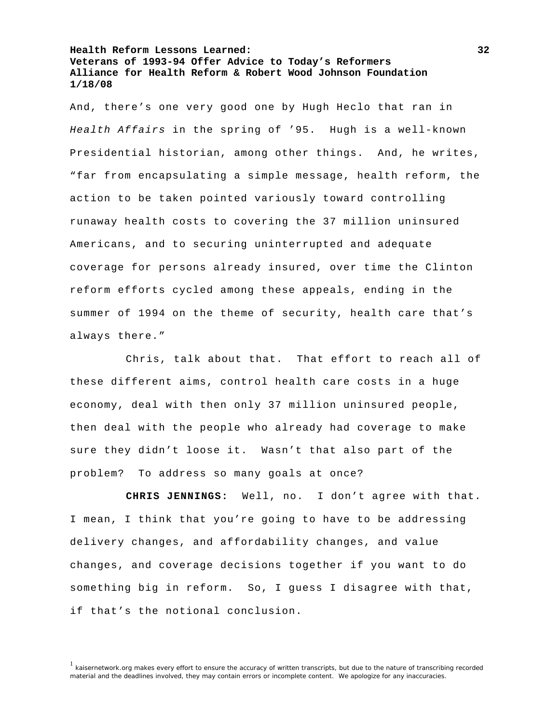And, there's one very good one by Hugh Heclo that ran in *Health Affairs* in the spring of '95. Hugh is a well-known Presidential historian, among other things. And, he writes, "far from encapsulating a simple message, health reform, the action to be taken pointed variously toward controlling runaway health costs to covering the 37 million uninsured Americans, and to securing uninterrupted and adequate coverage for persons already insured, over time the Clinton reform efforts cycled among these appeals, ending in the summer of 1994 on the theme of security, health care that's always there."

 Chris, talk about that. That effort to reach all of these different aims, control health care costs in a huge economy, deal with then only 37 million uninsured people, then deal with the people who already had coverage to make sure they didn't loose it. Wasn't that also part of the problem? To address so many goals at once?

**CHRIS JENNINGS:** Well, no. I don't agree with that. I mean, I think that you're going to have to be addressing delivery changes, and affordability changes, and value changes, and coverage decisions together if you want to do something big in reform. So, I guess I disagree with that, if that's the notional conclusion.

<sup>&</sup>lt;sup>1</sup> kaisernetwork.org makes every effort to ensure the accuracy of written transcripts, but due to the nature of transcribing recorded material and the deadlines involved, they may contain errors or incomplete content. We apologize for any inaccuracies.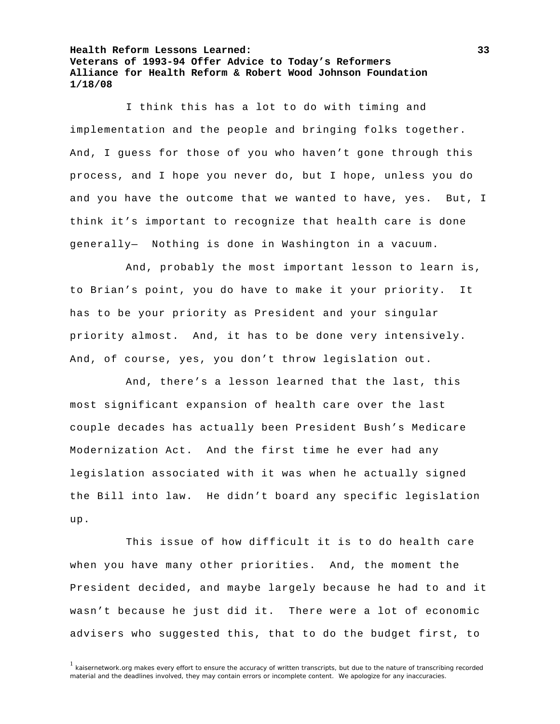I think this has a lot to do with timing and implementation and the people and bringing folks together. And, I guess for those of you who haven't gone through this process, and I hope you never do, but I hope, unless you do and you have the outcome that we wanted to have, yes. But, I think it's important to recognize that health care is done generally— Nothing is done in Washington in a vacuum.

 And, probably the most important lesson to learn is, to Brian's point, you do have to make it your priority. It has to be your priority as President and your singular priority almost. And, it has to be done very intensively. And, of course, yes, you don't throw legislation out.

 And, there's a lesson learned that the last, this most significant expansion of health care over the last couple decades has actually been President Bush's Medicare Modernization Act. And the first time he ever had any legislation associated with it was when he actually signed the Bill into law. He didn't board any specific legislation up.

 This issue of how difficult it is to do health care when you have many other priorities. And, the moment the President decided, and maybe largely because he had to and it wasn't because he just did it. There were a lot of economic advisers who suggested this, that to do the budget first, to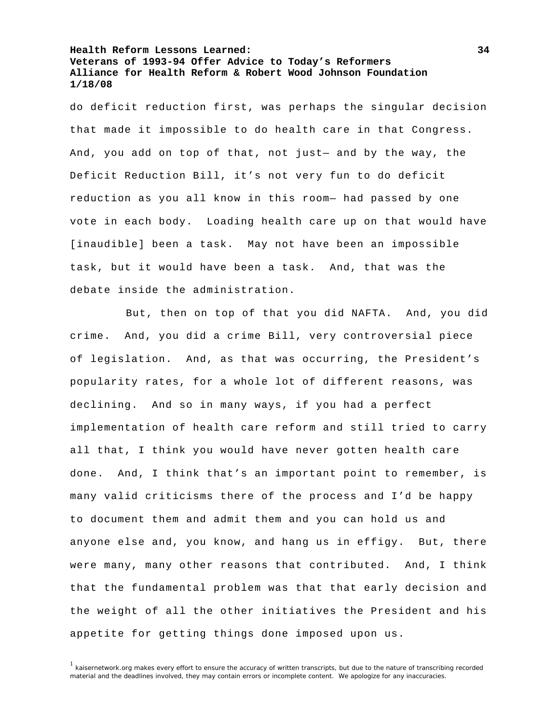do deficit reduction first, was perhaps the singular decision that made it impossible to do health care in that Congress. And, you add on top of that, not just— and by the way, the Deficit Reduction Bill, it's not very fun to do deficit reduction as you all know in this room— had passed by one vote in each body. Loading health care up on that would have [inaudible] been a task. May not have been an impossible task, but it would have been a task. And, that was the debate inside the administration.

 But, then on top of that you did NAFTA. And, you did crime. And, you did a crime Bill, very controversial piece of legislation. And, as that was occurring, the President's popularity rates, for a whole lot of different reasons, was declining. And so in many ways, if you had a perfect implementation of health care reform and still tried to carry all that, I think you would have never gotten health care done. And, I think that's an important point to remember, is many valid criticisms there of the process and I'd be happy to document them and admit them and you can hold us and anyone else and, you know, and hang us in effigy. But, there were many, many other reasons that contributed. And, I think that the fundamental problem was that that early decision and the weight of all the other initiatives the President and his appetite for getting things done imposed upon us.

 $1$  kaisernetwork.org makes every effort to ensure the accuracy of written transcripts, but due to the nature of transcribing recorded material and the deadlines involved, they may contain errors or incomplete content. We apologize for any inaccuracies.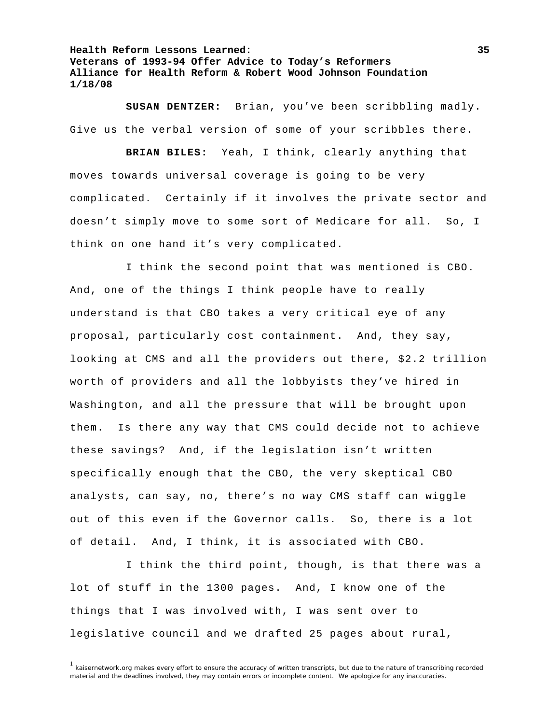**SUSAN DENTZER:** Brian, you've been scribbling madly. Give us the verbal version of some of your scribbles there.

**BRIAN BILES:** Yeah, I think, clearly anything that moves towards universal coverage is going to be very complicated. Certainly if it involves the private sector and doesn't simply move to some sort of Medicare for all. So, I think on one hand it's very complicated.

 I think the second point that was mentioned is CBO. And, one of the things I think people have to really understand is that CBO takes a very critical eye of any proposal, particularly cost containment. And, they say, looking at CMS and all the providers out there, \$2.2 trillion worth of providers and all the lobbyists they've hired in Washington, and all the pressure that will be brought upon them. Is there any way that CMS could decide not to achieve these savings? And, if the legislation isn't written specifically enough that the CBO, the very skeptical CBO analysts, can say, no, there's no way CMS staff can wiggle out of this even if the Governor calls. So, there is a lot of detail. And, I think, it is associated with CBO.

 I think the third point, though, is that there was a lot of stuff in the 1300 pages. And, I know one of the things that I was involved with, I was sent over to legislative council and we drafted 25 pages about rural,

 $1$  kaisernetwork.org makes every effort to ensure the accuracy of written transcripts, but due to the nature of transcribing recorded material and the deadlines involved, they may contain errors or incomplete content. We apologize for any inaccuracies.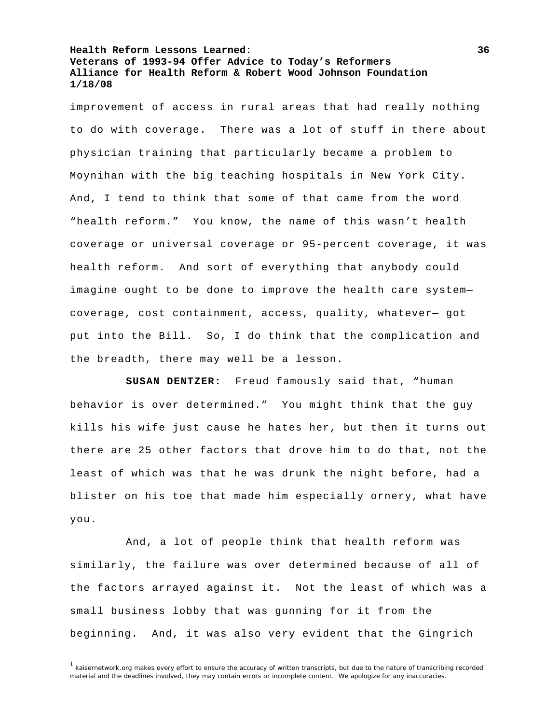improvement of access in rural areas that had really nothing to do with coverage. There was a lot of stuff in there about physician training that particularly became a problem to Moynihan with the big teaching hospitals in New York City. And, I tend to think that some of that came from the word "health reform." You know, the name of this wasn't health coverage or universal coverage or 95-percent coverage, it was health reform. And sort of everything that anybody could imagine ought to be done to improve the health care system coverage, cost containment, access, quality, whatever— got put into the Bill. So, I do think that the complication and the breadth, there may well be a lesson.

**SUSAN DENTZER:** Freud famously said that, "human behavior is over determined." You might think that the guy kills his wife just cause he hates her, but then it turns out there are 25 other factors that drove him to do that, not the least of which was that he was drunk the night before, had a blister on his toe that made him especially ornery, what have you.

 And, a lot of people think that health reform was similarly, the failure was over determined because of all of the factors arrayed against it. Not the least of which was a small business lobby that was gunning for it from the beginning. And, it was also very evident that the Gingrich

 $1$  kaisernetwork.org makes every effort to ensure the accuracy of written transcripts, but due to the nature of transcribing recorded material and the deadlines involved, they may contain errors or incomplete content. We apologize for any inaccuracies.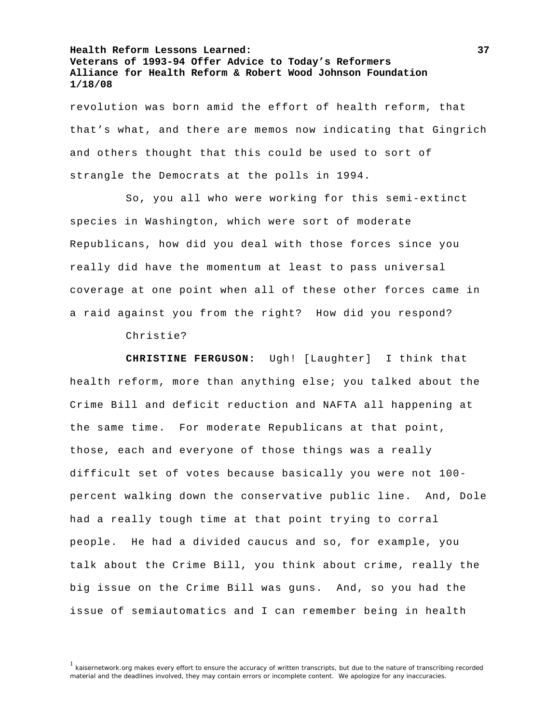revolution was born amid the effort of health reform, that that's what, and there are memos now indicating that Gingrich and others thought that this could be used to sort of strangle the Democrats at the polls in 1994.

 So, you all who were working for this semi-extinct species in Washington, which were sort of moderate Republicans, how did you deal with those forces since you really did have the momentum at least to pass universal coverage at one point when all of these other forces came in a raid against you from the right? How did you respond?

Christie?

**CHRISTINE FERGUSON:** Ugh! [Laughter] I think that health reform, more than anything else; you talked about the Crime Bill and deficit reduction and NAFTA all happening at the same time. For moderate Republicans at that point, those, each and everyone of those things was a really difficult set of votes because basically you were not 100 percent walking down the conservative public line. And, Dole had a really tough time at that point trying to corral people. He had a divided caucus and so, for example, you talk about the Crime Bill, you think about crime, really the big issue on the Crime Bill was guns. And, so you had the issue of semiautomatics and I can remember being in health

<sup>&</sup>lt;sup>1</sup> kaisernetwork.org makes every effort to ensure the accuracy of written transcripts, but due to the nature of transcribing recorded material and the deadlines involved, they may contain errors or incomplete content. We apologize for any inaccuracies.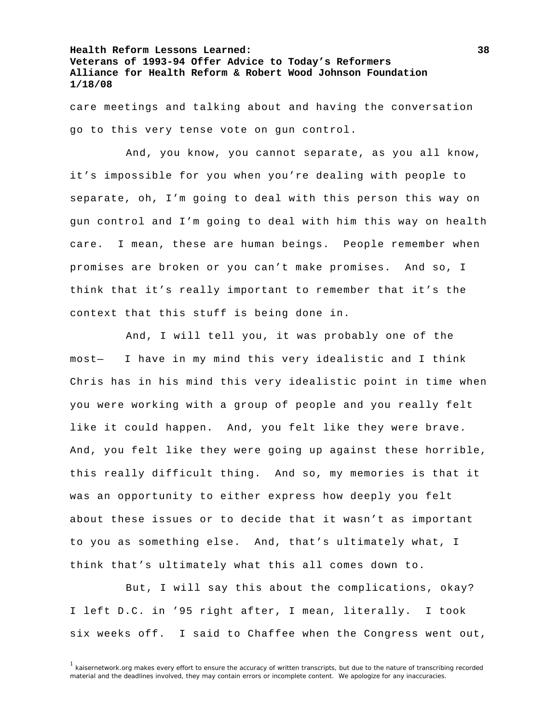care meetings and talking about and having the conversation go to this very tense vote on gun control.

 And, you know, you cannot separate, as you all know, it's impossible for you when you're dealing with people to separate, oh, I'm going to deal with this person this way on gun control and I'm going to deal with him this way on health care. I mean, these are human beings. People remember when promises are broken or you can't make promises. And so, I think that it's really important to remember that it's the context that this stuff is being done in.

 And, I will tell you, it was probably one of the most— I have in my mind this very idealistic and I think Chris has in his mind this very idealistic point in time when you were working with a group of people and you really felt like it could happen. And, you felt like they were brave. And, you felt like they were going up against these horrible, this really difficult thing. And so, my memories is that it was an opportunity to either express how deeply you felt about these issues or to decide that it wasn't as important to you as something else. And, that's ultimately what, I think that's ultimately what this all comes down to.

 But, I will say this about the complications, okay? I left D.C. in '95 right after, I mean, literally. I took six weeks off. I said to Chaffee when the Congress went out,

 $1$  kaisernetwork.org makes every effort to ensure the accuracy of written transcripts, but due to the nature of transcribing recorded material and the deadlines involved, they may contain errors or incomplete content. We apologize for any inaccuracies.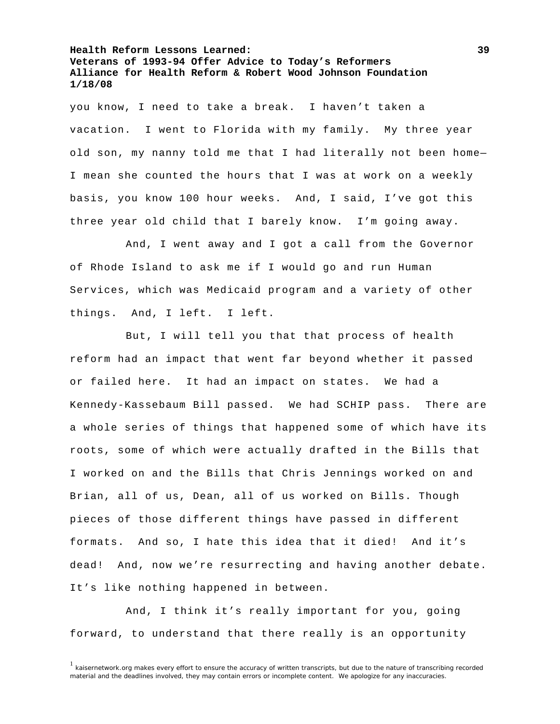you know, I need to take a break. I haven't taken a vacation. I went to Florida with my family. My three year old son, my nanny told me that I had literally not been home— I mean she counted the hours that I was at work on a weekly basis, you know 100 hour weeks. And, I said, I've got this three year old child that I barely know. I'm going away.

 And, I went away and I got a call from the Governor of Rhode Island to ask me if I would go and run Human Services, which was Medicaid program and a variety of other things. And, I left. I left.

 But, I will tell you that that process of health reform had an impact that went far beyond whether it passed or failed here. It had an impact on states. We had a Kennedy-Kassebaum Bill passed. We had SCHIP pass. There are a whole series of things that happened some of which have its roots, some of which were actually drafted in the Bills that I worked on and the Bills that Chris Jennings worked on and Brian, all of us, Dean, all of us worked on Bills. Though pieces of those different things have passed in different formats. And so, I hate this idea that it died! And it's dead! And, now we're resurrecting and having another debate. It's like nothing happened in between.

 And, I think it's really important for you, going forward, to understand that there really is an opportunity

<sup>&</sup>lt;sup>1</sup> kaisernetwork.org makes every effort to ensure the accuracy of written transcripts, but due to the nature of transcribing recorded material and the deadlines involved, they may contain errors or incomplete content. We apologize for any inaccuracies.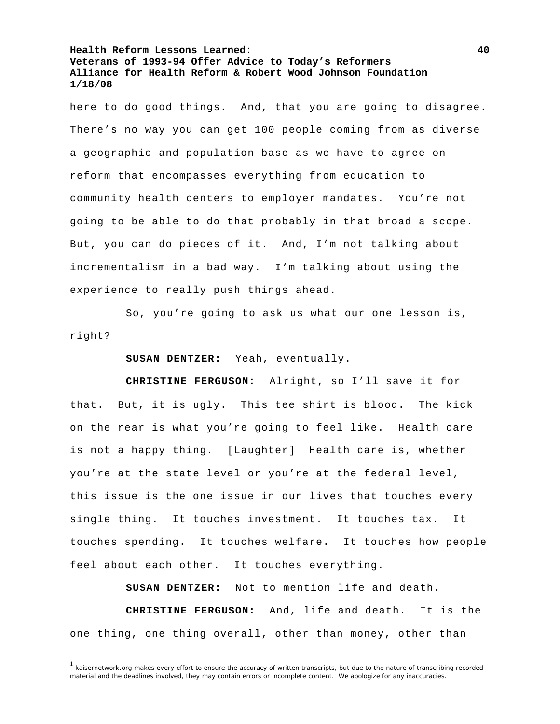here to do good things. And, that you are going to disagree. There's no way you can get 100 people coming from as diverse a geographic and population base as we have to agree on reform that encompasses everything from education to community health centers to employer mandates. You're not going to be able to do that probably in that broad a scope. But, you can do pieces of it. And, I'm not talking about incrementalism in a bad way. I'm talking about using the experience to really push things ahead.

 So, you're going to ask us what our one lesson is, right?

**SUSAN DENTZER:** Yeah, eventually.

**CHRISTINE FERGUSON:** Alright, so I'll save it for that. But, it is ugly. This tee shirt is blood. The kick on the rear is what you're going to feel like. Health care is not a happy thing. [Laughter] Health care is, whether you're at the state level or you're at the federal level, this issue is the one issue in our lives that touches every single thing. It touches investment. It touches tax. It touches spending. It touches welfare. It touches how people feel about each other. It touches everything.

**SUSAN DENTZER:** Not to mention life and death.

**CHRISTINE FERGUSON:** And, life and death. It is the one thing, one thing overall, other than money, other than

 $1$  kaisernetwork.org makes every effort to ensure the accuracy of written transcripts, but due to the nature of transcribing recorded material and the deadlines involved, they may contain errors or incomplete content. We apologize for any inaccuracies.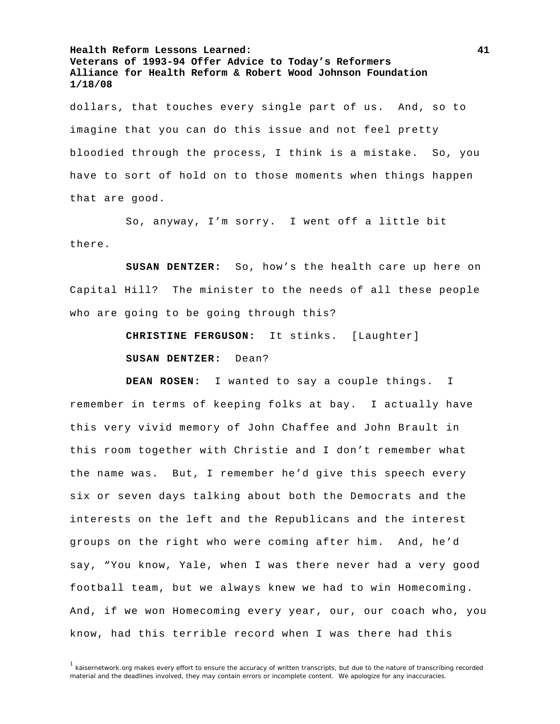dollars, that touches every single part of us. And, so to imagine that you can do this issue and not feel pretty bloodied through the process, I think is a mistake. So, you have to sort of hold on to those moments when things happen that are good.

 So, anyway, I'm sorry. I went off a little bit there.

**SUSAN DENTZER:** So, how's the health care up here on Capital Hill? The minister to the needs of all these people who are going to be going through this?

> **CHRISTINE FERGUSON:** It stinks. [Laughter] **SUSAN DENTZER:** Dean?

**DEAN ROSEN:** I wanted to say a couple things. I remember in terms of keeping folks at bay. I actually have this very vivid memory of John Chaffee and John Brault in this room together with Christie and I don't remember what the name was. But, I remember he'd give this speech every six or seven days talking about both the Democrats and the interests on the left and the Republicans and the interest groups on the right who were coming after him. And, he'd say, "You know, Yale, when I was there never had a very good football team, but we always knew we had to win Homecoming. And, if we won Homecoming every year, our, our coach who, you know, had this terrible record when I was there had this

 $1$  kaisernetwork.org makes every effort to ensure the accuracy of written transcripts, but due to the nature of transcribing recorded material and the deadlines involved, they may contain errors or incomplete content. We apologize for any inaccuracies.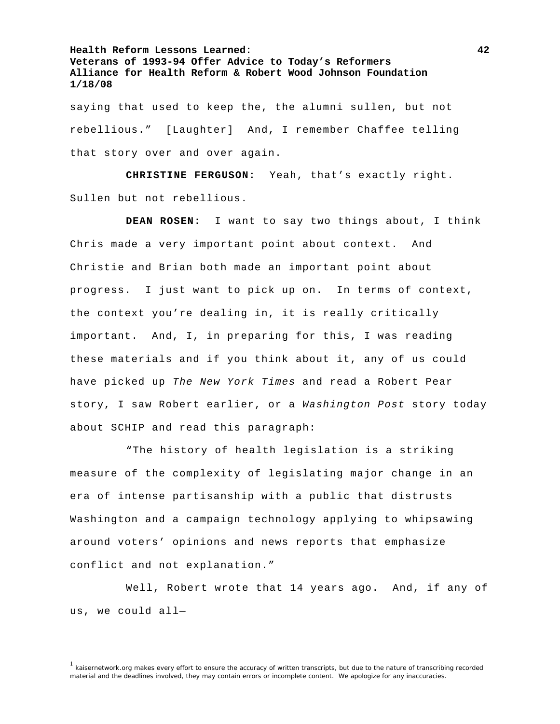saying that used to keep the, the alumni sullen, but not rebellious." [Laughter] And, I remember Chaffee telling that story over and over again.

**CHRISTINE FERGUSON:** Yeah, that's exactly right. Sullen but not rebellious.

**DEAN ROSEN:** I want to say two things about, I think Chris made a very important point about context. And Christie and Brian both made an important point about progress. I just want to pick up on. In terms of context, the context you're dealing in, it is really critically important. And, I, in preparing for this, I was reading these materials and if you think about it, any of us could have picked up *The New York Times* and read a Robert Pear story, I saw Robert earlier, or a *Washington Post* story today about SCHIP and read this paragraph:

 "The history of health legislation is a striking measure of the complexity of legislating major change in an era of intense partisanship with a public that distrusts Washington and a campaign technology applying to whipsawing around voters' opinions and news reports that emphasize conflict and not explanation."

 Well, Robert wrote that 14 years ago. And, if any of us, we could all—

<sup>&</sup>lt;sup>1</sup> kaisernetwork.org makes every effort to ensure the accuracy of written transcripts, but due to the nature of transcribing recorded material and the deadlines involved, they may contain errors or incomplete content. We apologize for any inaccuracies.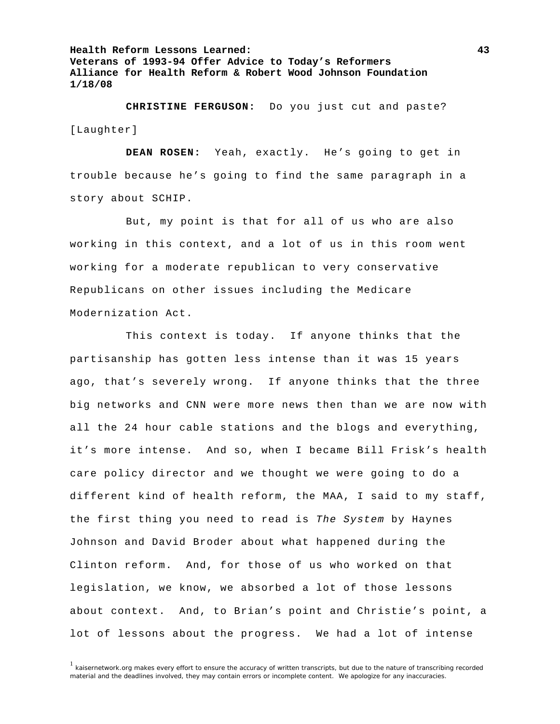**CHRISTINE FERGUSON:** Do you just cut and paste? [Laughter]

**DEAN ROSEN:** Yeah, exactly. He's going to get in trouble because he's going to find the same paragraph in a story about SCHIP.

 But, my point is that for all of us who are also working in this context, and a lot of us in this room went working for a moderate republican to very conservative Republicans on other issues including the Medicare Modernization Act.

 This context is today. If anyone thinks that the partisanship has gotten less intense than it was 15 years ago, that's severely wrong. If anyone thinks that the three big networks and CNN were more news then than we are now with all the 24 hour cable stations and the blogs and everything, it's more intense. And so, when I became Bill Frisk's health care policy director and we thought we were going to do a different kind of health reform, the MAA, I said to my staff, the first thing you need to read is *The System* by Haynes Johnson and David Broder about what happened during the Clinton reform. And, for those of us who worked on that legislation, we know, we absorbed a lot of those lessons about context. And, to Brian's point and Christie's point, a lot of lessons about the progress. We had a lot of intense

 $1$  kaisernetwork.org makes every effort to ensure the accuracy of written transcripts, but due to the nature of transcribing recorded material and the deadlines involved, they may contain errors or incomplete content. We apologize for any inaccuracies.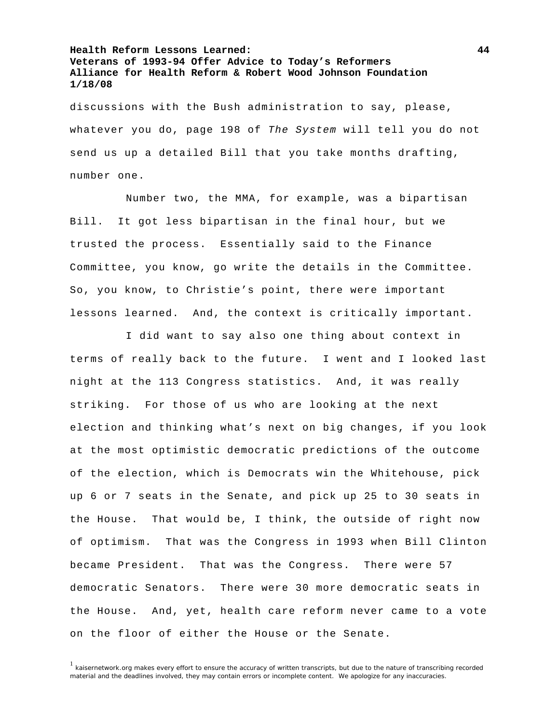discussions with the Bush administration to say, please, whatever you do, page 198 of *The System* will tell you do not send us up a detailed Bill that you take months drafting, number one.

 Number two, the MMA, for example, was a bipartisan Bill. It got less bipartisan in the final hour, but we trusted the process. Essentially said to the Finance Committee, you know, go write the details in the Committee. So, you know, to Christie's point, there were important lessons learned. And, the context is critically important.

 I did want to say also one thing about context in terms of really back to the future. I went and I looked last night at the 113 Congress statistics. And, it was really striking. For those of us who are looking at the next election and thinking what's next on big changes, if you look at the most optimistic democratic predictions of the outcome of the election, which is Democrats win the Whitehouse, pick up 6 or 7 seats in the Senate, and pick up 25 to 30 seats in the House. That would be, I think, the outside of right now of optimism. That was the Congress in 1993 when Bill Clinton became President. That was the Congress. There were 57 democratic Senators. There were 30 more democratic seats in the House. And, yet, health care reform never came to a vote on the floor of either the House or the Senate.

<sup>1</sup> kaisernetwork.org makes every effort to ensure the accuracy of written transcripts, but due to the nature of transcribing recorded material and the deadlines involved, they may contain errors or incomplete content. We apologize for any inaccuracies.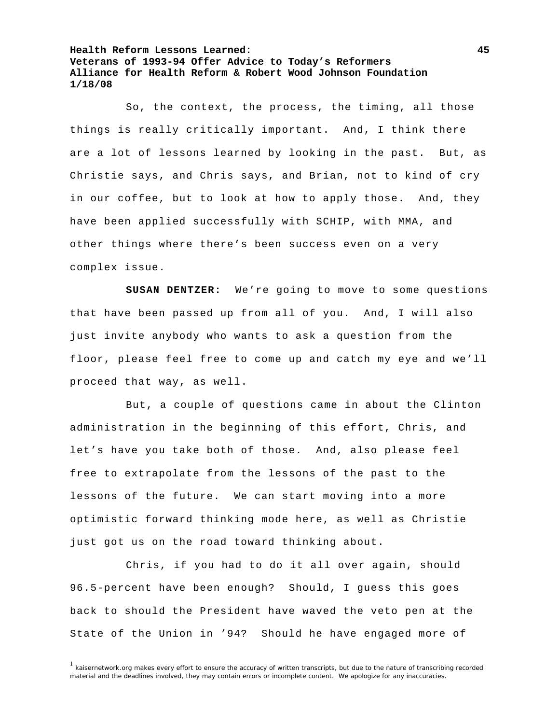So, the context, the process, the timing, all those things is really critically important. And, I think there are a lot of lessons learned by looking in the past. But, as Christie says, and Chris says, and Brian, not to kind of cry in our coffee, but to look at how to apply those. And, they have been applied successfully with SCHIP, with MMA, and other things where there's been success even on a very complex issue.

**SUSAN DENTZER:** We're going to move to some questions that have been passed up from all of you. And, I will also just invite anybody who wants to ask a question from the floor, please feel free to come up and catch my eye and we'll proceed that way, as well.

 But, a couple of questions came in about the Clinton administration in the beginning of this effort, Chris, and let's have you take both of those. And, also please feel free to extrapolate from the lessons of the past to the lessons of the future. We can start moving into a more optimistic forward thinking mode here, as well as Christie just got us on the road toward thinking about.

 Chris, if you had to do it all over again, should 96.5-percent have been enough? Should, I guess this goes back to should the President have waved the veto pen at the State of the Union in '94? Should he have engaged more of

<sup>&</sup>lt;sup>1</sup> kaisernetwork.org makes every effort to ensure the accuracy of written transcripts, but due to the nature of transcribing recorded material and the deadlines involved, they may contain errors or incomplete content. We apologize for any inaccuracies.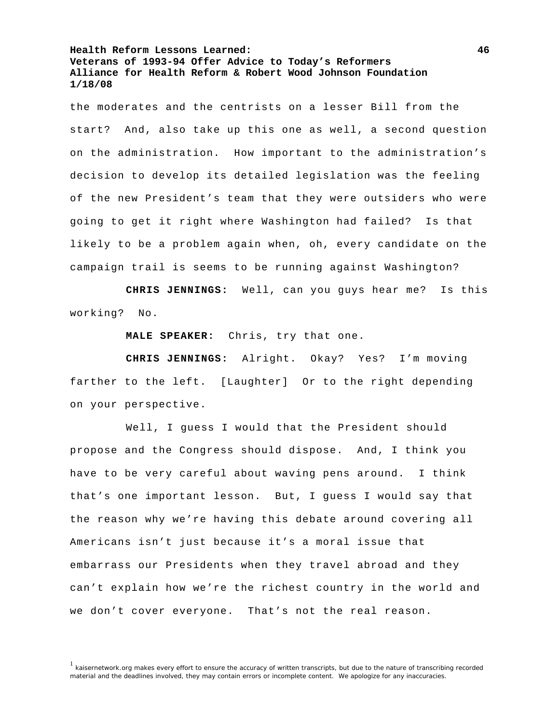the moderates and the centrists on a lesser Bill from the start? And, also take up this one as well, a second question on the administration. How important to the administration's decision to develop its detailed legislation was the feeling of the new President's team that they were outsiders who were going to get it right where Washington had failed? Is that likely to be a problem again when, oh, every candidate on the campaign trail is seems to be running against Washington?

**CHRIS JENNINGS:** Well, can you guys hear me? Is this working? No.

**MALE SPEAKER:** Chris, try that one.

**CHRIS JENNINGS:** Alright. Okay? Yes? I'm moving farther to the left. [Laughter] Or to the right depending on your perspective.

 Well, I guess I would that the President should propose and the Congress should dispose. And, I think you have to be very careful about waving pens around. I think that's one important lesson. But, I guess I would say that the reason why we're having this debate around covering all Americans isn't just because it's a moral issue that embarrass our Presidents when they travel abroad and they can't explain how we're the richest country in the world and we don't cover everyone. That's not the real reason.

<sup>&</sup>lt;sup>1</sup> kaisernetwork.org makes every effort to ensure the accuracy of written transcripts, but due to the nature of transcribing recorded material and the deadlines involved, they may contain errors or incomplete content. We apologize for any inaccuracies.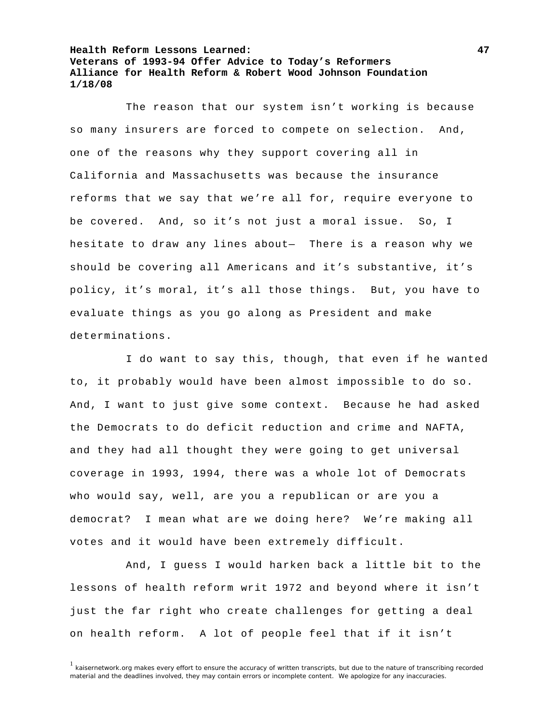The reason that our system isn't working is because so many insurers are forced to compete on selection. And, one of the reasons why they support covering all in California and Massachusetts was because the insurance reforms that we say that we're all for, require everyone to be covered. And, so it's not just a moral issue. So, I hesitate to draw any lines about— There is a reason why we should be covering all Americans and it's substantive, it's policy, it's moral, it's all those things. But, you have to evaluate things as you go along as President and make determinations.

 I do want to say this, though, that even if he wanted to, it probably would have been almost impossible to do so. And, I want to just give some context. Because he had asked the Democrats to do deficit reduction and crime and NAFTA, and they had all thought they were going to get universal coverage in 1993, 1994, there was a whole lot of Democrats who would say, well, are you a republican or are you a democrat? I mean what are we doing here? We're making all votes and it would have been extremely difficult.

 And, I guess I would harken back a little bit to the lessons of health reform writ 1972 and beyond where it isn't just the far right who create challenges for getting a deal on health reform. A lot of people feel that if it isn't

<sup>&</sup>lt;sup>1</sup> kaisernetwork.org makes every effort to ensure the accuracy of written transcripts, but due to the nature of transcribing recorded material and the deadlines involved, they may contain errors or incomplete content. We apologize for any inaccuracies.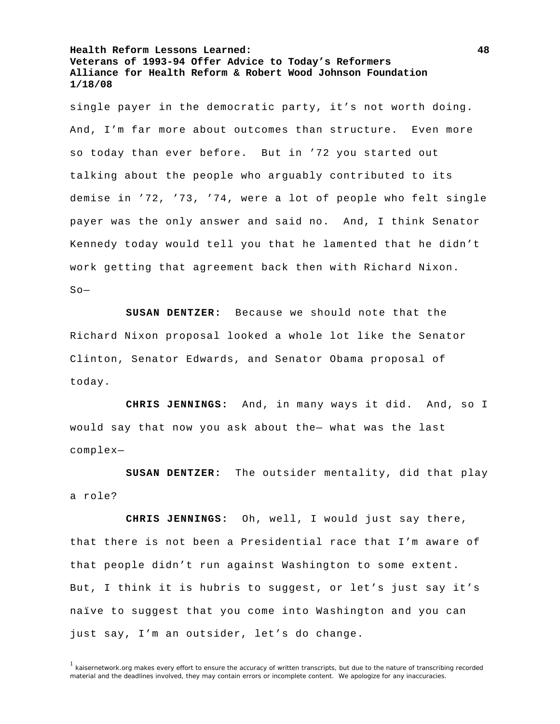single payer in the democratic party, it's not worth doing. And, I'm far more about outcomes than structure. Even more so today than ever before. But in '72 you started out talking about the people who arguably contributed to its demise in '72, '73, '74, were a lot of people who felt single payer was the only answer and said no. And, I think Senator Kennedy today would tell you that he lamented that he didn't work getting that agreement back then with Richard Nixon.  $S_0$ —

**SUSAN DENTZER:** Because we should note that the Richard Nixon proposal looked a whole lot like the Senator Clinton, Senator Edwards, and Senator Obama proposal of today.

**CHRIS JENNINGS:** And, in many ways it did. And, so I would say that now you ask about the— what was the last complex—

**SUSAN DENTZER:** The outsider mentality, did that play a role?

**CHRIS JENNINGS:** Oh, well, I would just say there, that there is not been a Presidential race that I'm aware of that people didn't run against Washington to some extent. But, I think it is hubris to suggest, or let's just say it's naïve to suggest that you come into Washington and you can just say, I'm an outsider, let's do change.

<sup>&</sup>lt;sup>1</sup> kaisernetwork.org makes every effort to ensure the accuracy of written transcripts, but due to the nature of transcribing recorded material and the deadlines involved, they may contain errors or incomplete content. We apologize for any inaccuracies.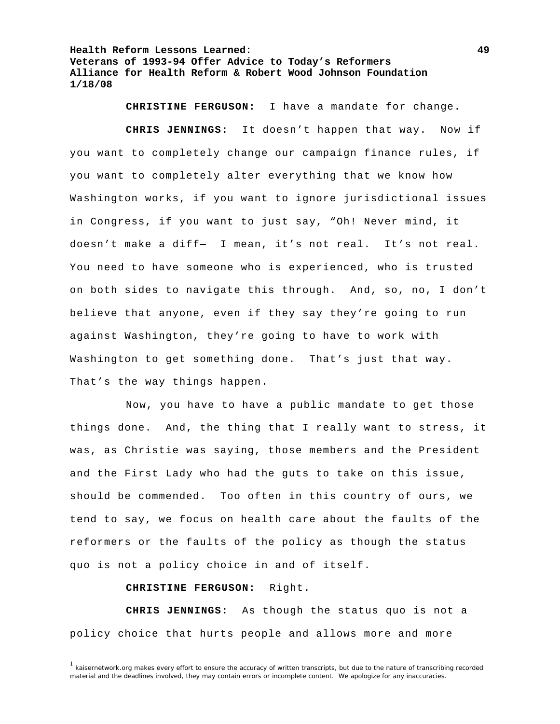**CHRISTINE FERGUSON:** I have a mandate for change.

**CHRIS JENNINGS:** It doesn't happen that way. Now if you want to completely change our campaign finance rules, if you want to completely alter everything that we know how Washington works, if you want to ignore jurisdictional issues in Congress, if you want to just say, "Oh! Never mind, it doesn't make a diff— I mean, it's not real. It's not real. You need to have someone who is experienced, who is trusted on both sides to navigate this through. And, so, no, I don't believe that anyone, even if they say they're going to run against Washington, they're going to have to work with Washington to get something done. That's just that way. That's the way things happen.

 Now, you have to have a public mandate to get those things done. And, the thing that I really want to stress, it was, as Christie was saying, those members and the President and the First Lady who had the guts to take on this issue, should be commended. Too often in this country of ours, we tend to say, we focus on health care about the faults of the reformers or the faults of the policy as though the status quo is not a policy choice in and of itself.

**CHRISTINE FERGUSON:** Right.

**CHRIS JENNINGS:** As though the status quo is not a policy choice that hurts people and allows more and more

 $1$  kaisernetwork.org makes every effort to ensure the accuracy of written transcripts, but due to the nature of transcribing recorded material and the deadlines involved, they may contain errors or incomplete content. We apologize for any inaccuracies.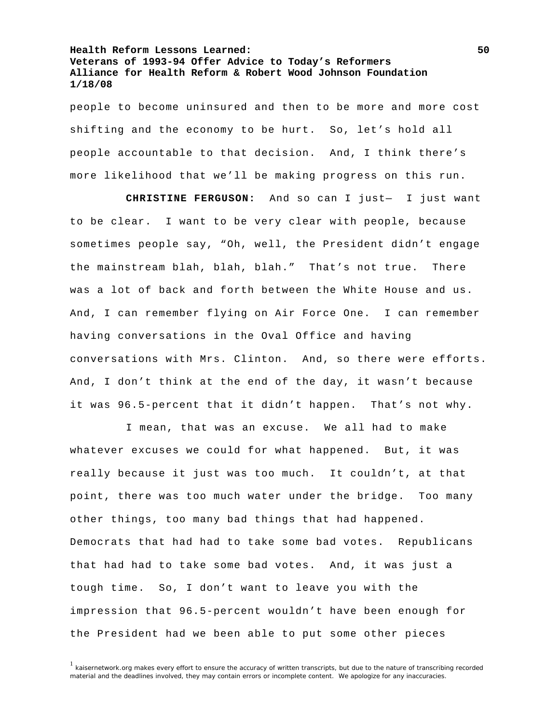people to become uninsured and then to be more and more cost shifting and the economy to be hurt. So, let's hold all people accountable to that decision. And, I think there's more likelihood that we'll be making progress on this run.

**CHRISTINE FERGUSON:** And so can I just— I just want to be clear. I want to be very clear with people, because sometimes people say, "Oh, well, the President didn't engage the mainstream blah, blah, blah." That's not true. There was a lot of back and forth between the White House and us. And, I can remember flying on Air Force One. I can remember having conversations in the Oval Office and having conversations with Mrs. Clinton. And, so there were efforts. And, I don't think at the end of the day, it wasn't because it was 96.5-percent that it didn't happen. That's not why.

 I mean, that was an excuse. We all had to make whatever excuses we could for what happened. But, it was really because it just was too much. It couldn't, at that point, there was too much water under the bridge. Too many other things, too many bad things that had happened. Democrats that had had to take some bad votes. Republicans that had had to take some bad votes. And, it was just a tough time. So, I don't want to leave you with the impression that 96.5-percent wouldn't have been enough for the President had we been able to put some other pieces

<sup>&</sup>lt;sup>1</sup> kaisernetwork.org makes every effort to ensure the accuracy of written transcripts, but due to the nature of transcribing recorded material and the deadlines involved, they may contain errors or incomplete content. We apologize for any inaccuracies.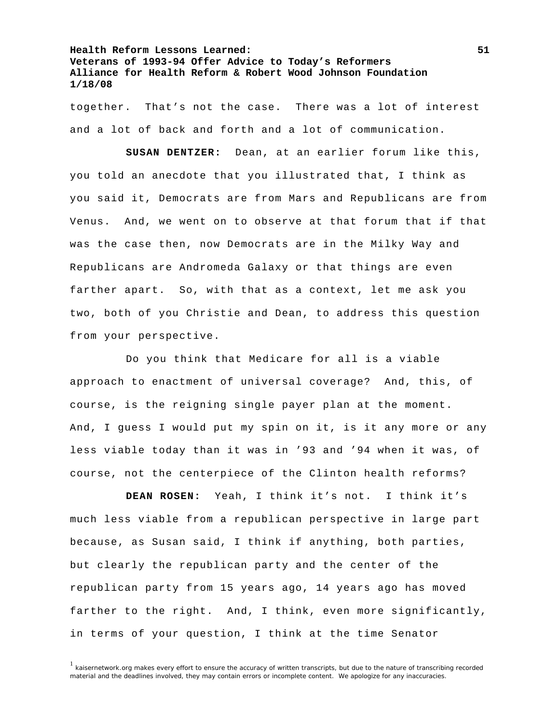together. That's not the case. There was a lot of interest and a lot of back and forth and a lot of communication.

**SUSAN DENTZER:** Dean, at an earlier forum like this, you told an anecdote that you illustrated that, I think as you said it, Democrats are from Mars and Republicans are from Venus. And, we went on to observe at that forum that if that was the case then, now Democrats are in the Milky Way and Republicans are Andromeda Galaxy or that things are even farther apart. So, with that as a context, let me ask you two, both of you Christie and Dean, to address this question from your perspective.

 Do you think that Medicare for all is a viable approach to enactment of universal coverage? And, this, of course, is the reigning single payer plan at the moment. And, I guess I would put my spin on it, is it any more or any less viable today than it was in '93 and '94 when it was, of course, not the centerpiece of the Clinton health reforms?

**DEAN ROSEN:** Yeah, I think it's not. I think it's much less viable from a republican perspective in large part because, as Susan said, I think if anything, both parties, but clearly the republican party and the center of the republican party from 15 years ago, 14 years ago has moved farther to the right. And, I think, even more significantly, in terms of your question, I think at the time Senator

<sup>&</sup>lt;sup>1</sup> kaisernetwork.org makes every effort to ensure the accuracy of written transcripts, but due to the nature of transcribing recorded material and the deadlines involved, they may contain errors or incomplete content. We apologize for any inaccuracies.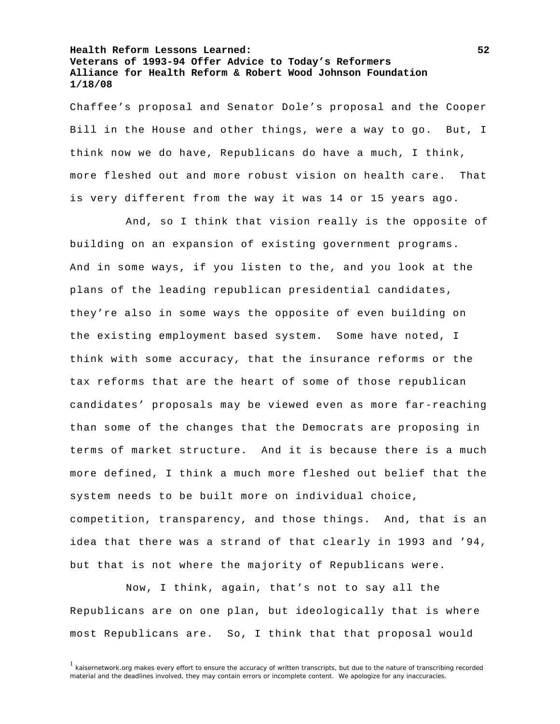Chaffee's proposal and Senator Dole's proposal and the Cooper Bill in the House and other things, were a way to go. But, I think now we do have, Republicans do have a much, I think, more fleshed out and more robust vision on health care. That is very different from the way it was 14 or 15 years ago.

 And, so I think that vision really is the opposite of building on an expansion of existing government programs. And in some ways, if you listen to the, and you look at the plans of the leading republican presidential candidates, they're also in some ways the opposite of even building on the existing employment based system. Some have noted, I think with some accuracy, that the insurance reforms or the tax reforms that are the heart of some of those republican candidates' proposals may be viewed even as more far-reaching than some of the changes that the Democrats are proposing in terms of market structure. And it is because there is a much more defined, I think a much more fleshed out belief that the system needs to be built more on individual choice, competition, transparency, and those things. And, that is an idea that there was a strand of that clearly in 1993 and '94, but that is not where the majority of Republicans were.

 Now, I think, again, that's not to say all the Republicans are on one plan, but ideologically that is where most Republicans are. So, I think that that proposal would

 $1$  kaisernetwork.org makes every effort to ensure the accuracy of written transcripts, but due to the nature of transcribing recorded material and the deadlines involved, they may contain errors or incomplete content. We apologize for any inaccuracies.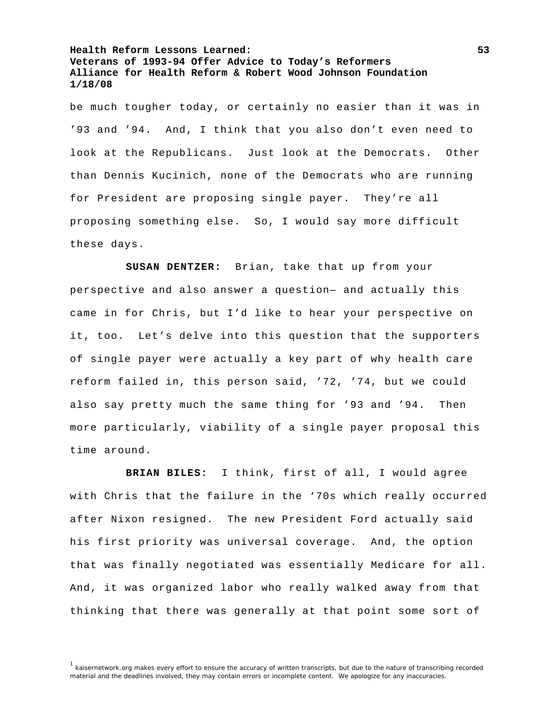be much tougher today, or certainly no easier than it was in '93 and '94. And, I think that you also don't even need to look at the Republicans. Just look at the Democrats. Other than Dennis Kucinich, none of the Democrats who are running for President are proposing single payer. They're all proposing something else. So, I would say more difficult these days.

**SUSAN DENTZER:** Brian, take that up from your perspective and also answer a question— and actually this came in for Chris, but I'd like to hear your perspective on it, too. Let's delve into this question that the supporters of single payer were actually a key part of why health care reform failed in, this person said, '72, '74, but we could also say pretty much the same thing for '93 and '94. Then more particularly, viability of a single payer proposal this time around.

**BRIAN BILES:** I think, first of all, I would agree with Chris that the failure in the '70s which really occurred after Nixon resigned. The new President Ford actually said his first priority was universal coverage. And, the option that was finally negotiated was essentially Medicare for all. And, it was organized labor who really walked away from that thinking that there was generally at that point some sort of

<sup>&</sup>lt;sup>1</sup> kaisernetwork.org makes every effort to ensure the accuracy of written transcripts, but due to the nature of transcribing recorded material and the deadlines involved, they may contain errors or incomplete content. We apologize for any inaccuracies.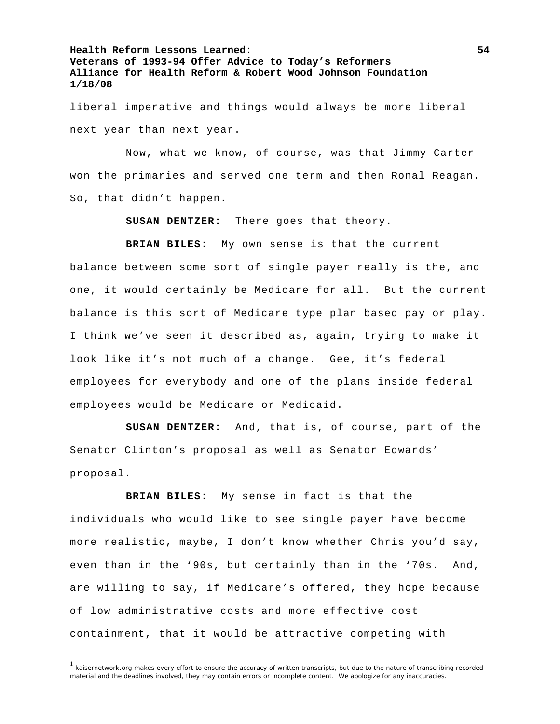liberal imperative and things would always be more liberal next year than next year.

 Now, what we know, of course, was that Jimmy Carter won the primaries and served one term and then Ronal Reagan. So, that didn't happen.

**SUSAN DENTZER:** There goes that theory.

**BRIAN BILES:** My own sense is that the current balance between some sort of single payer really is the, and one, it would certainly be Medicare for all. But the current balance is this sort of Medicare type plan based pay or play.

I think we've seen it described as, again, trying to make it look like it's not much of a change. Gee, it's federal employees for everybody and one of the plans inside federal employees would be Medicare or Medicaid.

**SUSAN DENTZER:** And, that is, of course, part of the Senator Clinton's proposal as well as Senator Edwards' proposal.

**BRIAN BILES:** My sense in fact is that the individuals who would like to see single payer have become more realistic, maybe, I don't know whether Chris you'd say, even than in the '90s, but certainly than in the '70s. And, are willing to say, if Medicare's offered, they hope because of low administrative costs and more effective cost containment, that it would be attractive competing with

<sup>&</sup>lt;sup>1</sup> kaisernetwork.org makes every effort to ensure the accuracy of written transcripts, but due to the nature of transcribing recorded material and the deadlines involved, they may contain errors or incomplete content. We apologize for any inaccuracies.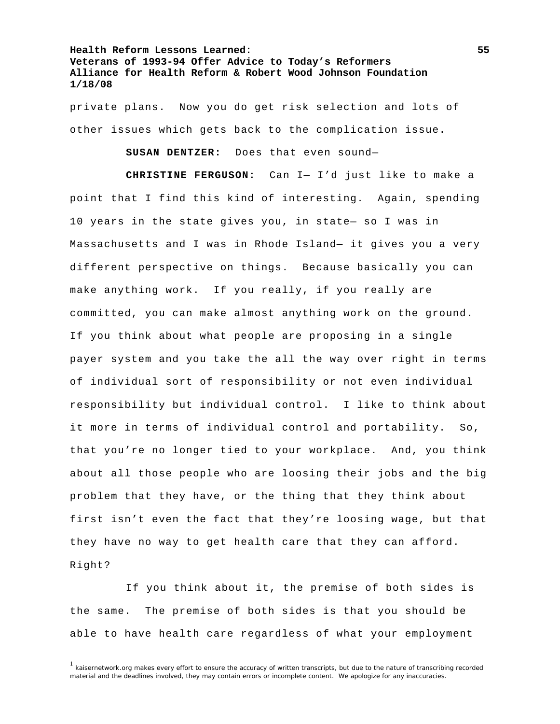private plans. Now you do get risk selection and lots of other issues which gets back to the complication issue.

**SUSAN DENTZER:** Does that even sound—

**CHRISTINE FERGUSON:** Can I— I'd just like to make a point that I find this kind of interesting. Again, spending 10 years in the state gives you, in state— so I was in Massachusetts and I was in Rhode Island— it gives you a very different perspective on things. Because basically you can make anything work. If you really, if you really are committed, you can make almost anything work on the ground. If you think about what people are proposing in a single payer system and you take the all the way over right in terms of individual sort of responsibility or not even individual responsibility but individual control. I like to think about it more in terms of individual control and portability. So, that you're no longer tied to your workplace. And, you think about all those people who are loosing their jobs and the big problem that they have, or the thing that they think about first isn't even the fact that they're loosing wage, but that they have no way to get health care that they can afford. Right?

 If you think about it, the premise of both sides is the same. The premise of both sides is that you should be able to have health care regardless of what your employment

 $1$  kaisernetwork.org makes every effort to ensure the accuracy of written transcripts, but due to the nature of transcribing recorded material and the deadlines involved, they may contain errors or incomplete content. We apologize for any inaccuracies.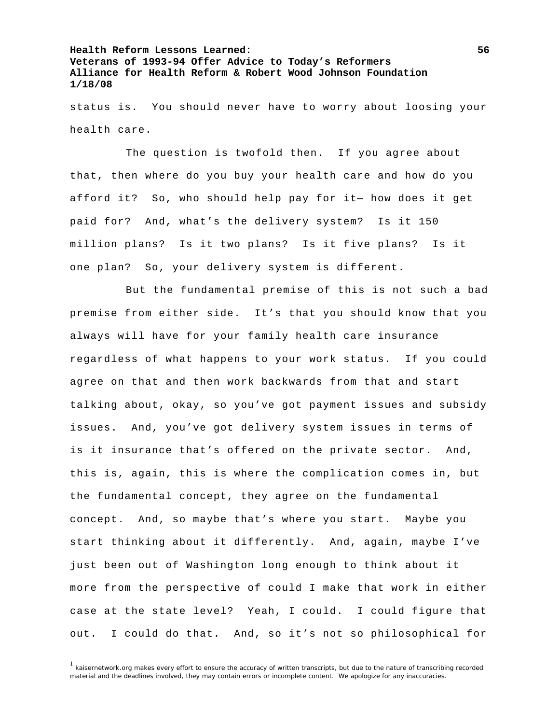status is. You should never have to worry about loosing your health care.

 The question is twofold then. If you agree about that, then where do you buy your health care and how do you afford it? So, who should help pay for it— how does it get paid for? And, what's the delivery system? Is it 150 million plans? Is it two plans? Is it five plans? Is it one plan? So, your delivery system is different.

 But the fundamental premise of this is not such a bad premise from either side. It's that you should know that you always will have for your family health care insurance regardless of what happens to your work status. If you could agree on that and then work backwards from that and start talking about, okay, so you've got payment issues and subsidy issues. And, you've got delivery system issues in terms of is it insurance that's offered on the private sector. And, this is, again, this is where the complication comes in, but the fundamental concept, they agree on the fundamental concept. And, so maybe that's where you start. Maybe you start thinking about it differently. And, again, maybe I've just been out of Washington long enough to think about it more from the perspective of could I make that work in either case at the state level? Yeah, I could. I could figure that out. I could do that. And, so it's not so philosophical for

 $1$  kaisernetwork.org makes every effort to ensure the accuracy of written transcripts, but due to the nature of transcribing recorded material and the deadlines involved, they may contain errors or incomplete content. We apologize for any inaccuracies.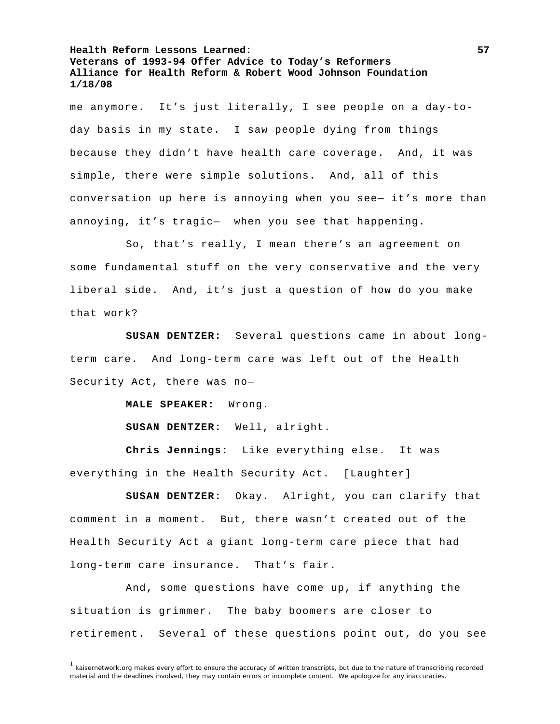me anymore. It's just literally, I see people on a day-today basis in my state. I saw people dying from things because they didn't have health care coverage. And, it was simple, there were simple solutions. And, all of this conversation up here is annoying when you see— it's more than annoying, it's tragic— when you see that happening.

 So, that's really, I mean there's an agreement on some fundamental stuff on the very conservative and the very liberal side. And, it's just a question of how do you make that work?

**SUSAN DENTZER:** Several questions came in about longterm care. And long-term care was left out of the Health Security Act, there was no—

**MALE SPEAKER:** Wrong.

**SUSAN DENTZER:** Well, alright.

**Chris Jennings:** Like everything else. It was everything in the Health Security Act. [Laughter]

**SUSAN DENTZER:** Okay. Alright, you can clarify that comment in a moment. But, there wasn't created out of the Health Security Act a giant long-term care piece that had long-term care insurance. That's fair.

 And, some questions have come up, if anything the situation is grimmer. The baby boomers are closer to retirement. Several of these questions point out, do you see

 $1$  kaisernetwork.org makes every effort to ensure the accuracy of written transcripts, but due to the nature of transcribing recorded material and the deadlines involved, they may contain errors or incomplete content. We apologize for any inaccuracies.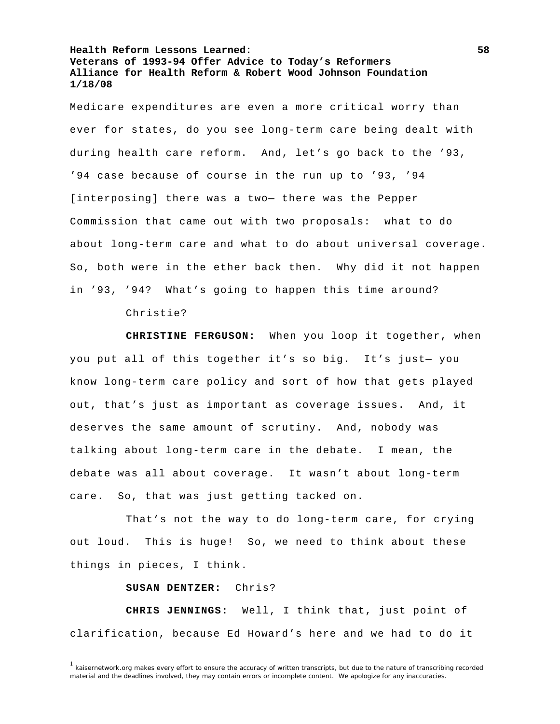Medicare expenditures are even a more critical worry than ever for states, do you see long-term care being dealt with during health care reform. And, let's go back to the '93, '94 case because of course in the run up to '93, '94 [interposing] there was a two— there was the Pepper Commission that came out with two proposals: what to do about long-term care and what to do about universal coverage. So, both were in the ether back then. Why did it not happen in '93, '94? What's going to happen this time around?

Christie?

**CHRISTINE FERGUSON:** When you loop it together, when you put all of this together it's so big. It's just— you know long-term care policy and sort of how that gets played out, that's just as important as coverage issues. And, it deserves the same amount of scrutiny. And, nobody was talking about long-term care in the debate. I mean, the debate was all about coverage. It wasn't about long-term care. So, that was just getting tacked on.

 That's not the way to do long-term care, for crying out loud. This is huge! So, we need to think about these things in pieces, I think.

**SUSAN DENTZER:** Chris?

**CHRIS JENNINGS:** Well, I think that, just point of clarification, because Ed Howard's here and we had to do it

 $1$  kaisernetwork.org makes every effort to ensure the accuracy of written transcripts, but due to the nature of transcribing recorded material and the deadlines involved, they may contain errors or incomplete content. We apologize for any inaccuracies.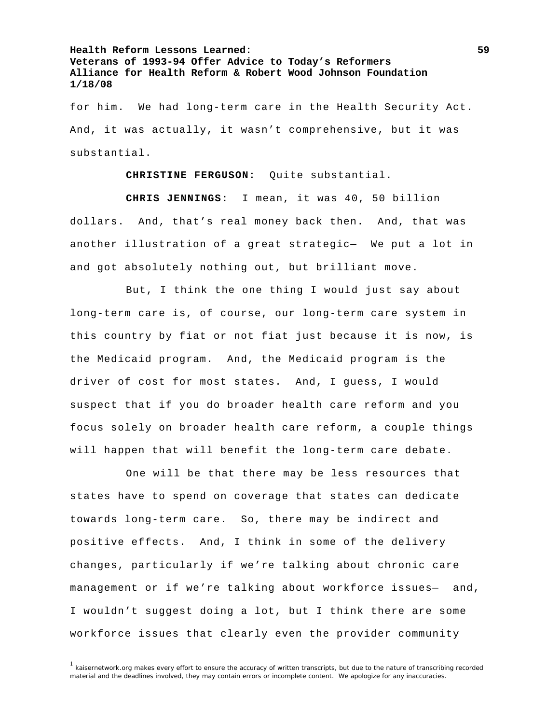for him. We had long-term care in the Health Security Act. And, it was actually, it wasn't comprehensive, but it was substantial.

**CHRISTINE FERGUSON:** Quite substantial.

**CHRIS JENNINGS:** I mean, it was 40, 50 billion dollars. And, that's real money back then. And, that was another illustration of a great strategic— We put a lot in and got absolutely nothing out, but brilliant move.

 But, I think the one thing I would just say about long-term care is, of course, our long-term care system in this country by fiat or not fiat just because it is now, is the Medicaid program. And, the Medicaid program is the driver of cost for most states. And, I guess, I would suspect that if you do broader health care reform and you focus solely on broader health care reform, a couple things will happen that will benefit the long-term care debate.

 One will be that there may be less resources that states have to spend on coverage that states can dedicate towards long-term care. So, there may be indirect and positive effects. And, I think in some of the delivery changes, particularly if we're talking about chronic care management or if we're talking about workforce issues- and, I wouldn't suggest doing a lot, but I think there are some workforce issues that clearly even the provider community

<sup>&</sup>lt;sup>1</sup> kaisernetwork.org makes every effort to ensure the accuracy of written transcripts, but due to the nature of transcribing recorded material and the deadlines involved, they may contain errors or incomplete content. We apologize for any inaccuracies.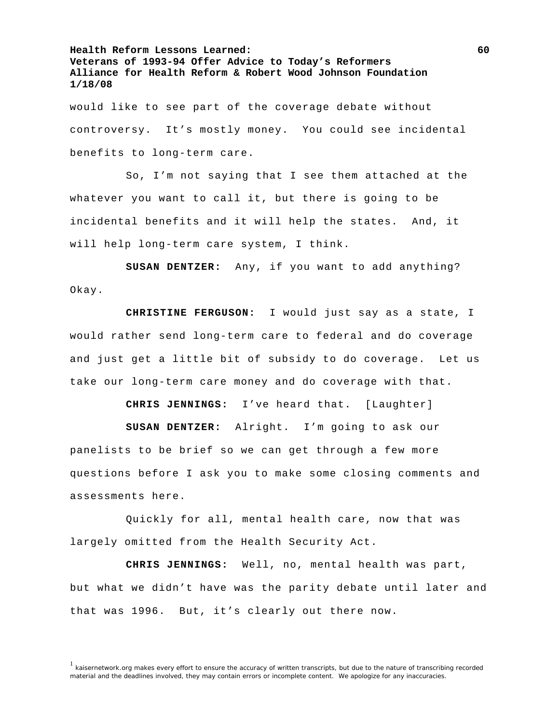would like to see part of the coverage debate without controversy. It's mostly money. You could see incidental benefits to long-term care.

 So, I'm not saying that I see them attached at the whatever you want to call it, but there is going to be incidental benefits and it will help the states. And, it will help long-term care system, I think.

**SUSAN DENTZER:** Any, if you want to add anything? Okay.

**CHRISTINE FERGUSON:** I would just say as a state, I would rather send long-term care to federal and do coverage and just get a little bit of subsidy to do coverage. Let us take our long-term care money and do coverage with that.

**CHRIS JENNINGS:** I've heard that. [Laughter]

**SUSAN DENTZER:** Alright. I'm going to ask our panelists to be brief so we can get through a few more questions before I ask you to make some closing comments and assessments here.

 Quickly for all, mental health care, now that was largely omitted from the Health Security Act.

**CHRIS JENNINGS:** Well, no, mental health was part, but what we didn't have was the parity debate until later and that was 1996. But, it's clearly out there now.

<sup>&</sup>lt;sup>1</sup> kaisernetwork.org makes every effort to ensure the accuracy of written transcripts, but due to the nature of transcribing recorded material and the deadlines involved, they may contain errors or incomplete content. We apologize for any inaccuracies.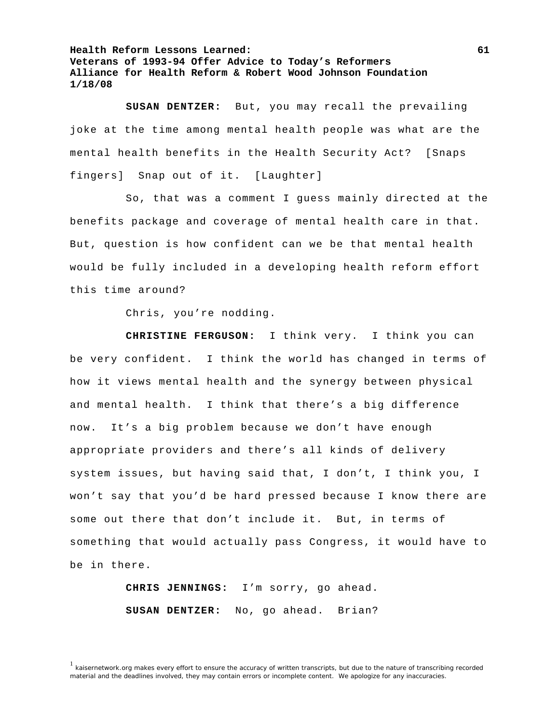**SUSAN DENTZER:** But, you may recall the prevailing joke at the time among mental health people was what are the mental health benefits in the Health Security Act? [Snaps fingers] Snap out of it. [Laughter]

 So, that was a comment I guess mainly directed at the benefits package and coverage of mental health care in that. But, question is how confident can we be that mental health would be fully included in a developing health reform effort this time around?

Chris, you're nodding.

**CHRISTINE FERGUSON:** I think very. I think you can be very confident. I think the world has changed in terms of how it views mental health and the synergy between physical and mental health. I think that there's a big difference now. It's a big problem because we don't have enough appropriate providers and there's all kinds of delivery system issues, but having said that, I don't, I think you, I won't say that you'd be hard pressed because I know there are some out there that don't include it. But, in terms of something that would actually pass Congress, it would have to be in there.

> **CHRIS JENNINGS:** I'm sorry, go ahead. **SUSAN DENTZER:** No, go ahead. Brian?

<sup>1</sup> kaisernetwork.org makes every effort to ensure the accuracy of written transcripts, but due to the nature of transcribing recorded material and the deadlines involved, they may contain errors or incomplete content. We apologize for any inaccuracies.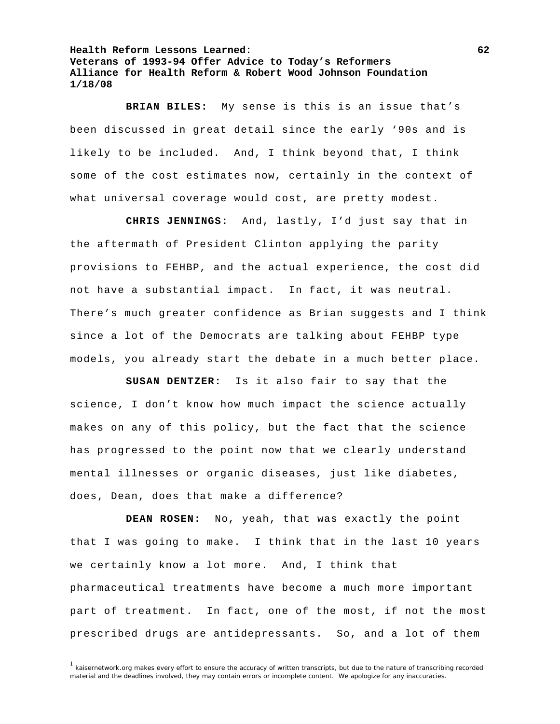**BRIAN BILES:** My sense is this is an issue that's been discussed in great detail since the early '90s and is likely to be included. And, I think beyond that, I think some of the cost estimates now, certainly in the context of what universal coverage would cost, are pretty modest.

**CHRIS JENNINGS:** And, lastly, I'd just say that in the aftermath of President Clinton applying the parity provisions to FEHBP, and the actual experience, the cost did not have a substantial impact. In fact, it was neutral. There's much greater confidence as Brian suggests and I think since a lot of the Democrats are talking about FEHBP type models, you already start the debate in a much better place.

**SUSAN DENTZER:** Is it also fair to say that the science, I don't know how much impact the science actually makes on any of this policy, but the fact that the science has progressed to the point now that we clearly understand mental illnesses or organic diseases, just like diabetes, does, Dean, does that make a difference?

**DEAN ROSEN:** No, yeah, that was exactly the point that I was going to make. I think that in the last 10 years we certainly know a lot more. And, I think that pharmaceutical treatments have become a much more important part of treatment. In fact, one of the most, if not the most prescribed drugs are antidepressants. So, and a lot of them

 $1$  kaisernetwork.org makes every effort to ensure the accuracy of written transcripts, but due to the nature of transcribing recorded material and the deadlines involved, they may contain errors or incomplete content. We apologize for any inaccuracies.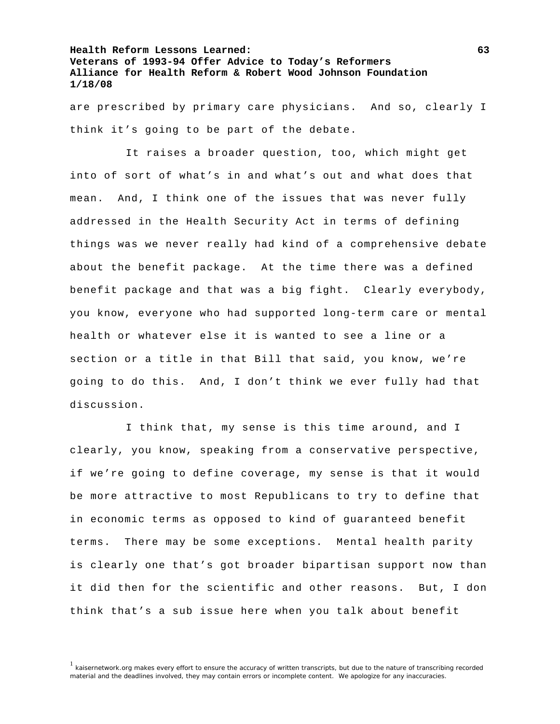are prescribed by primary care physicians. And so, clearly I think it's going to be part of the debate.

 It raises a broader question, too, which might get into of sort of what's in and what's out and what does that mean. And, I think one of the issues that was never fully addressed in the Health Security Act in terms of defining things was we never really had kind of a comprehensive debate about the benefit package. At the time there was a defined benefit package and that was a big fight. Clearly everybody, you know, everyone who had supported long-term care or mental health or whatever else it is wanted to see a line or a section or a title in that Bill that said, you know, we're going to do this. And, I don't think we ever fully had that discussion.

 I think that, my sense is this time around, and I clearly, you know, speaking from a conservative perspective, if we're going to define coverage, my sense is that it would be more attractive to most Republicans to try to define that in economic terms as opposed to kind of guaranteed benefit terms. There may be some exceptions. Mental health parity is clearly one that's got broader bipartisan support now than it did then for the scientific and other reasons. But, I don think that's a sub issue here when you talk about benefit

<sup>&</sup>lt;sup>1</sup> kaisernetwork.org makes every effort to ensure the accuracy of written transcripts, but due to the nature of transcribing recorded material and the deadlines involved, they may contain errors or incomplete content. We apologize for any inaccuracies.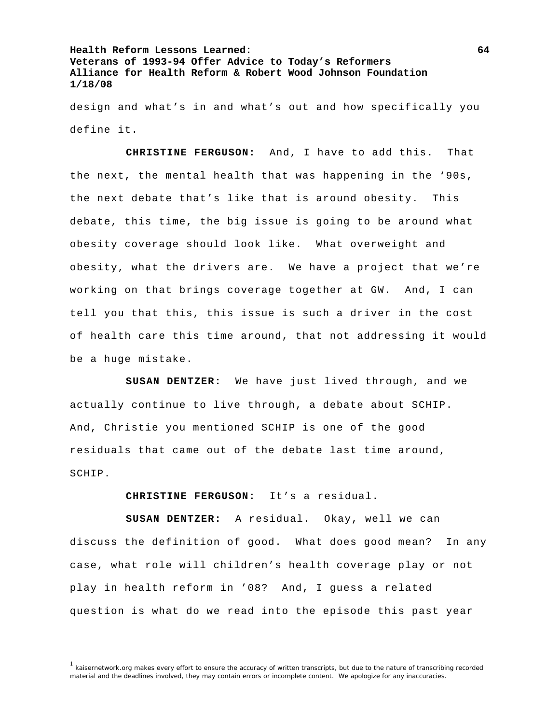design and what's in and what's out and how specifically you define it.

**CHRISTINE FERGUSON:** And, I have to add this. That the next, the mental health that was happening in the '90s, the next debate that's like that is around obesity. This debate, this time, the big issue is going to be around what obesity coverage should look like. What overweight and obesity, what the drivers are. We have a project that we're working on that brings coverage together at GW. And, I can tell you that this, this issue is such a driver in the cost of health care this time around, that not addressing it would be a huge mistake.

**SUSAN DENTZER:** We have just lived through, and we actually continue to live through, a debate about SCHIP. And, Christie you mentioned SCHIP is one of the good residuals that came out of the debate last time around, SCHIP.

**CHRISTINE FERGUSON:** It's a residual.

**SUSAN DENTZER:** A residual. Okay, well we can discuss the definition of good. What does good mean? In any case, what role will children's health coverage play or not play in health reform in '08? And, I guess a related question is what do we read into the episode this past year

<sup>&</sup>lt;sup>1</sup> kaisernetwork.org makes every effort to ensure the accuracy of written transcripts, but due to the nature of transcribing recorded material and the deadlines involved, they may contain errors or incomplete content. We apologize for any inaccuracies.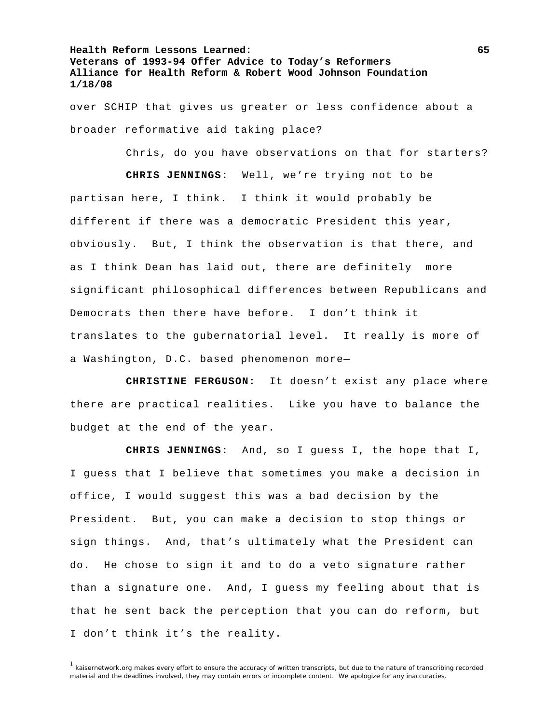over SCHIP that gives us greater or less confidence about a broader reformative aid taking place?

Chris, do you have observations on that for starters?

**CHRIS JENNINGS:** Well, we're trying not to be partisan here, I think. I think it would probably be different if there was a democratic President this year, obviously. But, I think the observation is that there, and as I think Dean has laid out, there are definitely more significant philosophical differences between Republicans and Democrats then there have before. I don't think it translates to the gubernatorial level. It really is more of a Washington, D.C. based phenomenon more—

**CHRISTINE FERGUSON:** It doesn't exist any place where there are practical realities. Like you have to balance the budget at the end of the year.

**CHRIS JENNINGS:** And, so I guess I, the hope that I, I guess that I believe that sometimes you make a decision in office, I would suggest this was a bad decision by the President. But, you can make a decision to stop things or sign things. And, that's ultimately what the President can do. He chose to sign it and to do a veto signature rather than a signature one. And, I guess my feeling about that is that he sent back the perception that you can do reform, but I don't think it's the reality.

<sup>&</sup>lt;sup>1</sup> kaisernetwork.org makes every effort to ensure the accuracy of written transcripts, but due to the nature of transcribing recorded material and the deadlines involved, they may contain errors or incomplete content. We apologize for any inaccuracies.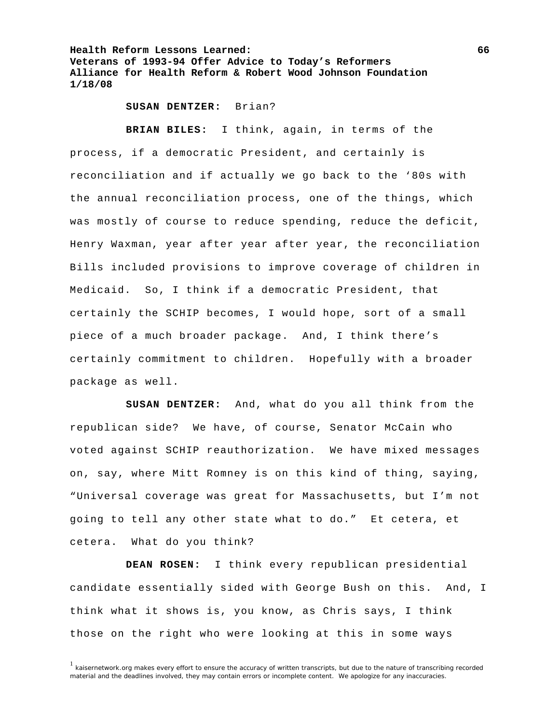**SUSAN DENTZER:** Brian?

**BRIAN BILES:** I think, again, in terms of the process, if a democratic President, and certainly is reconciliation and if actually we go back to the '80s with the annual reconciliation process, one of the things, which was mostly of course to reduce spending, reduce the deficit, Henry Waxman, year after year after year, the reconciliation Bills included provisions to improve coverage of children in Medicaid. So, I think if a democratic President, that certainly the SCHIP becomes, I would hope, sort of a small piece of a much broader package. And, I think there's certainly commitment to children. Hopefully with a broader package as well.

**SUSAN DENTZER:** And, what do you all think from the republican side? We have, of course, Senator McCain who voted against SCHIP reauthorization. We have mixed messages on, say, where Mitt Romney is on this kind of thing, saying, "Universal coverage was great for Massachusetts, but I'm not going to tell any other state what to do." Et cetera, et cetera. What do you think?

**DEAN ROSEN:** I think every republican presidential candidate essentially sided with George Bush on this. And, I think what it shows is, you know, as Chris says, I think those on the right who were looking at this in some ways

<sup>&</sup>lt;sup>1</sup> kaisernetwork.org makes every effort to ensure the accuracy of written transcripts, but due to the nature of transcribing recorded material and the deadlines involved, they may contain errors or incomplete content. We apologize for any inaccuracies.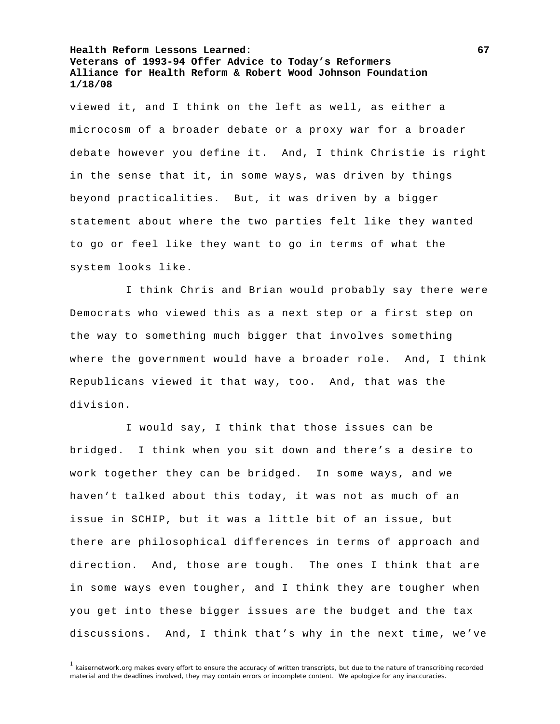viewed it, and I think on the left as well, as either a microcosm of a broader debate or a proxy war for a broader debate however you define it. And, I think Christie is right in the sense that it, in some ways, was driven by things beyond practicalities. But, it was driven by a bigger statement about where the two parties felt like they wanted to go or feel like they want to go in terms of what the system looks like.

 I think Chris and Brian would probably say there were Democrats who viewed this as a next step or a first step on the way to something much bigger that involves something where the government would have a broader role. And, I think Republicans viewed it that way, too. And, that was the division.

 I would say, I think that those issues can be bridged. I think when you sit down and there's a desire to work together they can be bridged. In some ways, and we haven't talked about this today, it was not as much of an issue in SCHIP, but it was a little bit of an issue, but there are philosophical differences in terms of approach and direction. And, those are tough. The ones I think that are in some ways even tougher, and I think they are tougher when you get into these bigger issues are the budget and the tax discussions. And, I think that's why in the next time, we've

<sup>1</sup> kaisernetwork.org makes every effort to ensure the accuracy of written transcripts, but due to the nature of transcribing recorded material and the deadlines involved, they may contain errors or incomplete content. We apologize for any inaccuracies.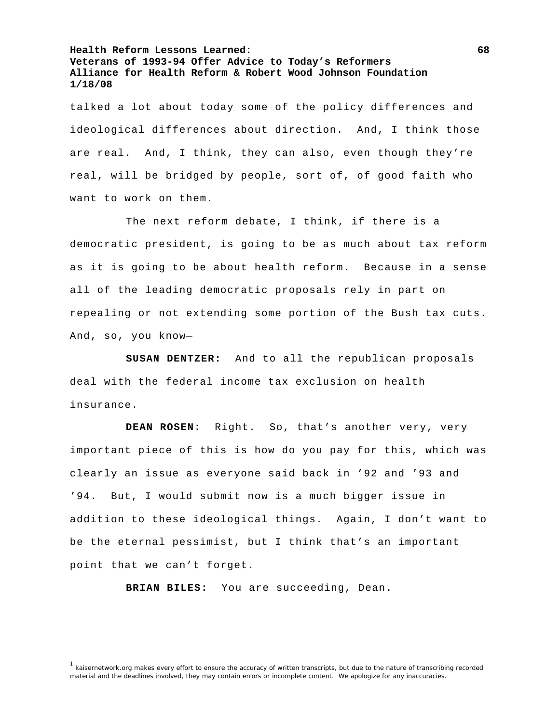talked a lot about today some of the policy differences and ideological differences about direction. And, I think those are real. And, I think, they can also, even though they're real, will be bridged by people, sort of, of good faith who want to work on them.

 The next reform debate, I think, if there is a democratic president, is going to be as much about tax reform as it is going to be about health reform. Because in a sense all of the leading democratic proposals rely in part on repealing or not extending some portion of the Bush tax cuts. And, so, you know—

**SUSAN DENTZER:** And to all the republican proposals deal with the federal income tax exclusion on health insurance.

**DEAN ROSEN:** Right. So, that's another very, very important piece of this is how do you pay for this, which was clearly an issue as everyone said back in '92 and '93 and '94. But, I would submit now is a much bigger issue in addition to these ideological things. Again, I don't want to be the eternal pessimist, but I think that's an important point that we can't forget.

**BRIAN BILES:** You are succeeding, Dean.

<sup>&</sup>lt;sup>1</sup> kaisernetwork.org makes every effort to ensure the accuracy of written transcripts, but due to the nature of transcribing recorded material and the deadlines involved, they may contain errors or incomplete content. We apologize for any inaccuracies.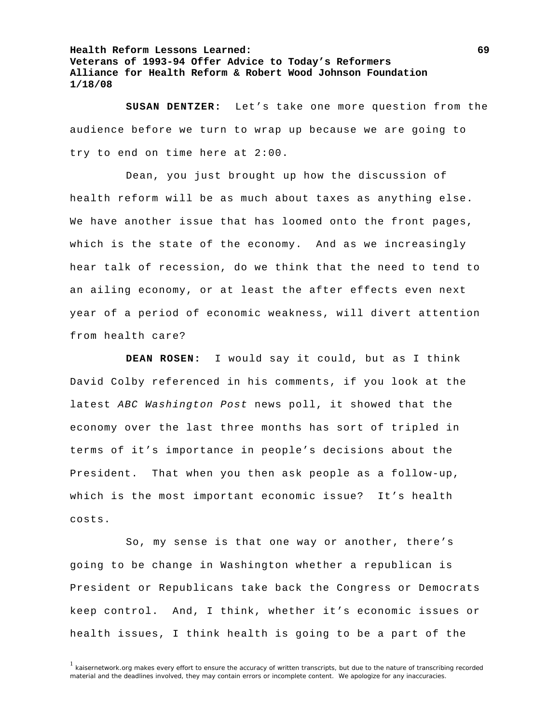**SUSAN DENTZER:** Let's take one more question from the audience before we turn to wrap up because we are going to try to end on time here at 2:00.

 Dean, you just brought up how the discussion of health reform will be as much about taxes as anything else. We have another issue that has loomed onto the front pages, which is the state of the economy. And as we increasingly hear talk of recession, do we think that the need to tend to an ailing economy, or at least the after effects even next year of a period of economic weakness, will divert attention from health care?

**DEAN ROSEN:** I would say it could, but as I think David Colby referenced in his comments, if you look at the latest *ABC Washington Post* news poll, it showed that the economy over the last three months has sort of tripled in terms of it's importance in people's decisions about the President. That when you then ask people as a follow-up, which is the most important economic issue? It's health costs.

 So, my sense is that one way or another, there's going to be change in Washington whether a republican is President or Republicans take back the Congress or Democrats keep control. And, I think, whether it's economic issues or health issues, I think health is going to be a part of the

<sup>&</sup>lt;sup>1</sup> kaisernetwork.org makes every effort to ensure the accuracy of written transcripts, but due to the nature of transcribing recorded material and the deadlines involved, they may contain errors or incomplete content. We apologize for any inaccuracies.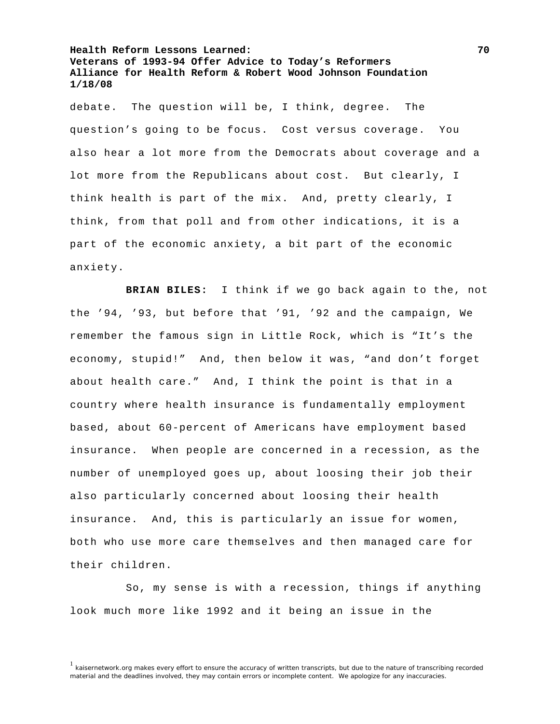debate. The question will be, I think, degree. The question's going to be focus. Cost versus coverage. You also hear a lot more from the Democrats about coverage and a lot more from the Republicans about cost. But clearly, I think health is part of the mix. And, pretty clearly, I think, from that poll and from other indications, it is a part of the economic anxiety, a bit part of the economic anxiety.

**BRIAN BILES:** I think if we go back again to the, not the '94, '93, but before that '91, '92 and the campaign, We remember the famous sign in Little Rock, which is "It's the economy, stupid!" And, then below it was, "and don't forget about health care." And, I think the point is that in a country where health insurance is fundamentally employment based, about 60-percent of Americans have employment based insurance. When people are concerned in a recession, as the number of unemployed goes up, about loosing their job their also particularly concerned about loosing their health insurance. And, this is particularly an issue for women, both who use more care themselves and then managed care for their children.

 So, my sense is with a recession, things if anything look much more like 1992 and it being an issue in the

<sup>&</sup>lt;sup>1</sup> kaisernetwork.org makes every effort to ensure the accuracy of written transcripts, but due to the nature of transcribing recorded material and the deadlines involved, they may contain errors or incomplete content. We apologize for any inaccuracies.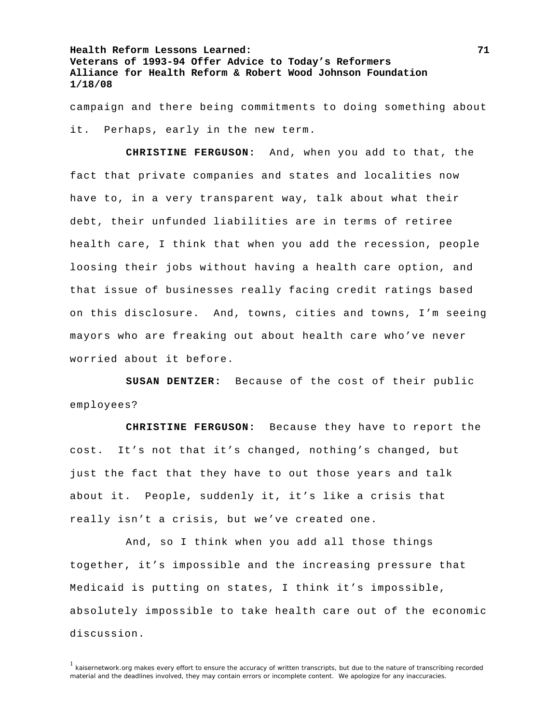campaign and there being commitments to doing something about it. Perhaps, early in the new term.

**CHRISTINE FERGUSON:** And, when you add to that, the fact that private companies and states and localities now have to, in a very transparent way, talk about what their debt, their unfunded liabilities are in terms of retiree health care, I think that when you add the recession, people loosing their jobs without having a health care option, and that issue of businesses really facing credit ratings based on this disclosure. And, towns, cities and towns, I'm seeing mayors who are freaking out about health care who've never worried about it before.

**SUSAN DENTZER:** Because of the cost of their public employees?

**CHRISTINE FERGUSON:** Because they have to report the cost. It's not that it's changed, nothing's changed, but just the fact that they have to out those years and talk about it. People, suddenly it, it's like a crisis that really isn't a crisis, but we've created one.

 And, so I think when you add all those things together, it's impossible and the increasing pressure that Medicaid is putting on states, I think it's impossible, absolutely impossible to take health care out of the economic discussion.

 $1$  kaisernetwork.org makes every effort to ensure the accuracy of written transcripts, but due to the nature of transcribing recorded material and the deadlines involved, they may contain errors or incomplete content. We apologize for any inaccuracies.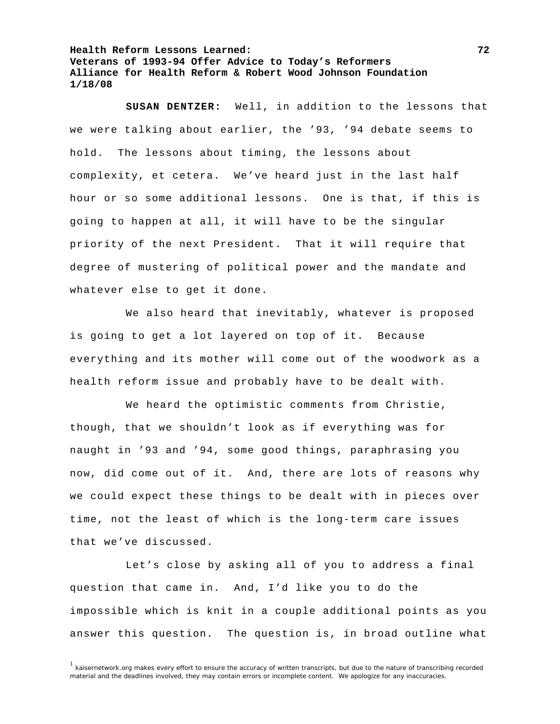**SUSAN DENTZER:** Well, in addition to the lessons that we were talking about earlier, the '93, '94 debate seems to hold. The lessons about timing, the lessons about complexity, et cetera. We've heard just in the last half hour or so some additional lessons. One is that, if this is going to happen at all, it will have to be the singular priority of the next President. That it will require that degree of mustering of political power and the mandate and whatever else to get it done.

 We also heard that inevitably, whatever is proposed is going to get a lot layered on top of it. Because everything and its mother will come out of the woodwork as a health reform issue and probably have to be dealt with.

 We heard the optimistic comments from Christie, though, that we shouldn't look as if everything was for naught in '93 and '94, some good things, paraphrasing you now, did come out of it. And, there are lots of reasons why we could expect these things to be dealt with in pieces over time, not the least of which is the long-term care issues that we've discussed.

 Let's close by asking all of you to address a final question that came in. And, I'd like you to do the impossible which is knit in a couple additional points as you answer this question. The question is, in broad outline what

<sup>&</sup>lt;sup>1</sup> kaisernetwork.org makes every effort to ensure the accuracy of written transcripts, but due to the nature of transcribing recorded material and the deadlines involved, they may contain errors or incomplete content. We apologize for any inaccuracies.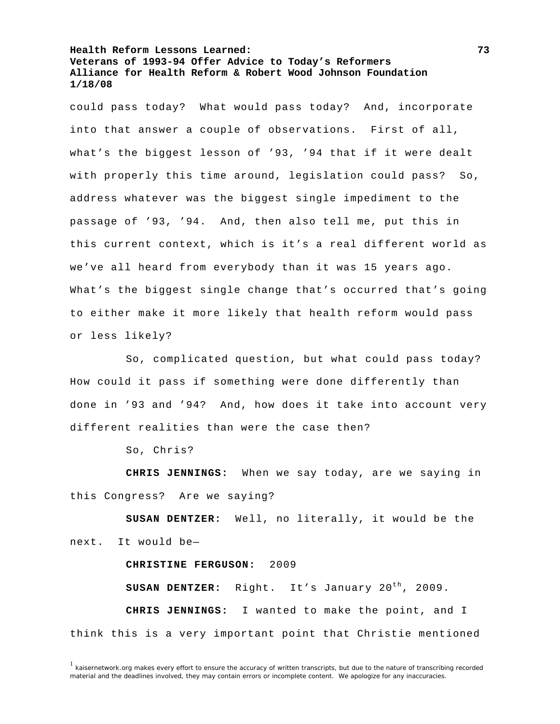could pass today? What would pass today? And, incorporate into that answer a couple of observations. First of all, what's the biggest lesson of '93, '94 that if it were dealt with properly this time around, legislation could pass? So, address whatever was the biggest single impediment to the passage of '93, '94. And, then also tell me, put this in this current context, which is it's a real different world as we've all heard from everybody than it was 15 years ago. What's the biggest single change that's occurred that's going to either make it more likely that health reform would pass or less likely?

 So, complicated question, but what could pass today? How could it pass if something were done differently than done in '93 and '94? And, how does it take into account very different realities than were the case then?

So, Chris?

**CHRIS JENNINGS:** When we say today, are we saying in this Congress? Are we saying?

**SUSAN DENTZER:** Well, no literally, it would be the next. It would be—

## **CHRISTINE FERGUSON:** 2009

**SUSAN DENTZER:** Right. It's January 20<sup>th</sup>, 2009. **CHRIS JENNINGS:** I wanted to make the point, and I think this is a very important point that Christie mentioned

 $1$  kaisernetwork.org makes every effort to ensure the accuracy of written transcripts, but due to the nature of transcribing recorded material and the deadlines involved, they may contain errors or incomplete content. We apologize for any inaccuracies.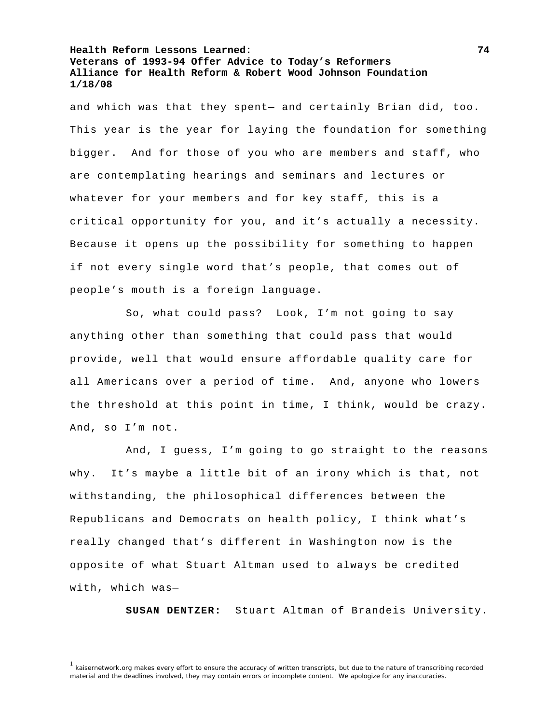and which was that they spent— and certainly Brian did, too. This year is the year for laying the foundation for something bigger. And for those of you who are members and staff, who are contemplating hearings and seminars and lectures or whatever for your members and for key staff, this is a critical opportunity for you, and it's actually a necessity. Because it opens up the possibility for something to happen if not every single word that's people, that comes out of people's mouth is a foreign language.

 So, what could pass? Look, I'm not going to say anything other than something that could pass that would provide, well that would ensure affordable quality care for all Americans over a period of time. And, anyone who lowers the threshold at this point in time, I think, would be crazy. And, so I'm not.

 And, I guess, I'm going to go straight to the reasons why. It's maybe a little bit of an irony which is that, not withstanding, the philosophical differences between the Republicans and Democrats on health policy, I think what's really changed that's different in Washington now is the opposite of what Stuart Altman used to always be credited with, which was—

**SUSAN DENTZER:** Stuart Altman of Brandeis University.

<sup>1</sup> kaisernetwork.org makes every effort to ensure the accuracy of written transcripts, but due to the nature of transcribing recorded material and the deadlines involved, they may contain errors or incomplete content. We apologize for any inaccuracies.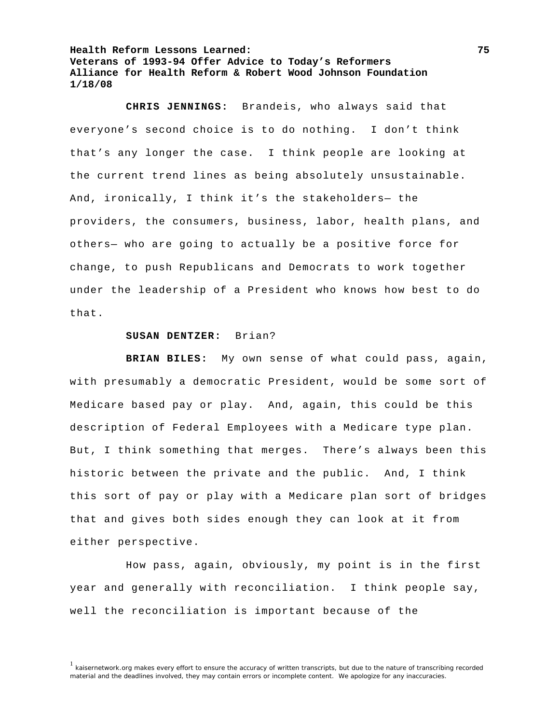**CHRIS JENNINGS:** Brandeis, who always said that everyone's second choice is to do nothing. I don't think that's any longer the case. I think people are looking at the current trend lines as being absolutely unsustainable. And, ironically, I think it's the stakeholders— the providers, the consumers, business, labor, health plans, and others— who are going to actually be a positive force for change, to push Republicans and Democrats to work together under the leadership of a President who knows how best to do that.

## **SUSAN DENTZER:** Brian?

**BRIAN BILES:** My own sense of what could pass, again, with presumably a democratic President, would be some sort of Medicare based pay or play. And, again, this could be this description of Federal Employees with a Medicare type plan. But, I think something that merges. There's always been this historic between the private and the public. And, I think this sort of pay or play with a Medicare plan sort of bridges that and gives both sides enough they can look at it from either perspective.

 How pass, again, obviously, my point is in the first year and generally with reconciliation. I think people say, well the reconciliation is important because of the

<sup>&</sup>lt;sup>1</sup> kaisernetwork.org makes every effort to ensure the accuracy of written transcripts, but due to the nature of transcribing recorded material and the deadlines involved, they may contain errors or incomplete content. We apologize for any inaccuracies.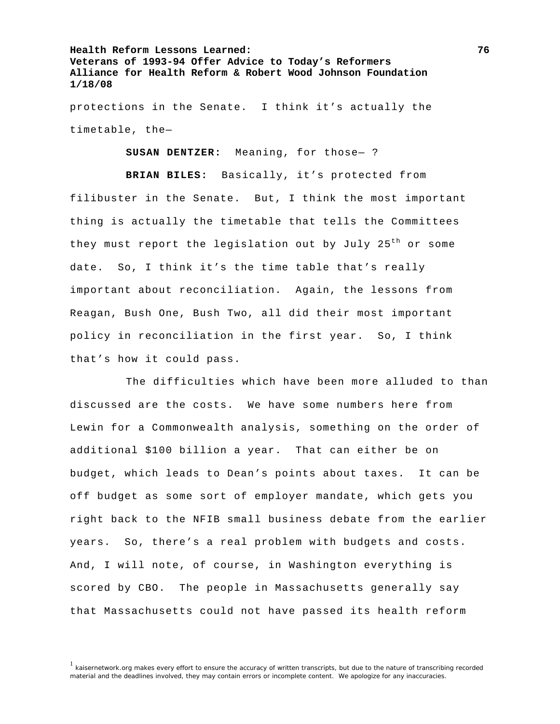protections in the Senate. I think it's actually the timetable, the—

**SUSAN DENTZER:** Meaning, for those— ?

**BRIAN BILES:** Basically, it's protected from filibuster in the Senate. But, I think the most important thing is actually the timetable that tells the Committees they must report the legislation out by July 25<sup>th</sup> or some date. So, I think it's the time table that's really important about reconciliation. Again, the lessons from Reagan, Bush One, Bush Two, all did their most important policy in reconciliation in the first year. So, I think that's how it could pass.

 The difficulties which have been more alluded to than discussed are the costs. We have some numbers here from Lewin for a Commonwealth analysis, something on the order of additional \$100 billion a year. That can either be on budget, which leads to Dean's points about taxes. It can be off budget as some sort of employer mandate, which gets you right back to the NFIB small business debate from the earlier years. So, there's a real problem with budgets and costs. And, I will note, of course, in Washington everything is scored by CBO. The people in Massachusetts generally say that Massachusetts could not have passed its health reform

<sup>&</sup>lt;sup>1</sup> kaisernetwork.org makes every effort to ensure the accuracy of written transcripts, but due to the nature of transcribing recorded material and the deadlines involved, they may contain errors or incomplete content. We apologize for any inaccuracies.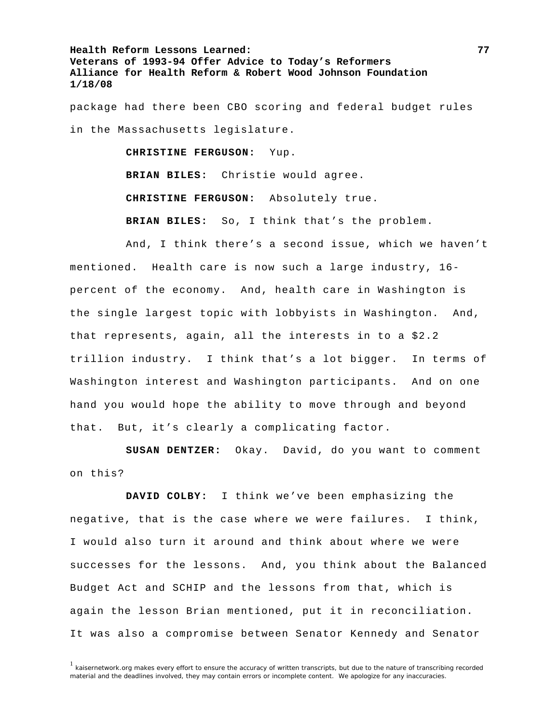package had there been CBO scoring and federal budget rules in the Massachusetts legislature.

> **CHRISTINE FERGUSON:** Yup. **BRIAN BILES:** Christie would agree. **CHRISTINE FERGUSON:** Absolutely true. **BRIAN BILES:** So, I think that's the problem.

 And, I think there's a second issue, which we haven't mentioned. Health care is now such a large industry, 16 percent of the economy. And, health care in Washington is the single largest topic with lobbyists in Washington. And, that represents, again, all the interests in to a \$2.2 trillion industry. I think that's a lot bigger. In terms of Washington interest and Washington participants. And on one hand you would hope the ability to move through and beyond that. But, it's clearly a complicating factor.

**SUSAN DENTZER:** Okay. David, do you want to comment on this?

**DAVID COLBY:** I think we've been emphasizing the negative, that is the case where we were failures. I think, I would also turn it around and think about where we were successes for the lessons. And, you think about the Balanced Budget Act and SCHIP and the lessons from that, which is again the lesson Brian mentioned, put it in reconciliation. It was also a compromise between Senator Kennedy and Senator

 $1$  kaisernetwork.org makes every effort to ensure the accuracy of written transcripts, but due to the nature of transcribing recorded material and the deadlines involved, they may contain errors or incomplete content. We apologize for any inaccuracies.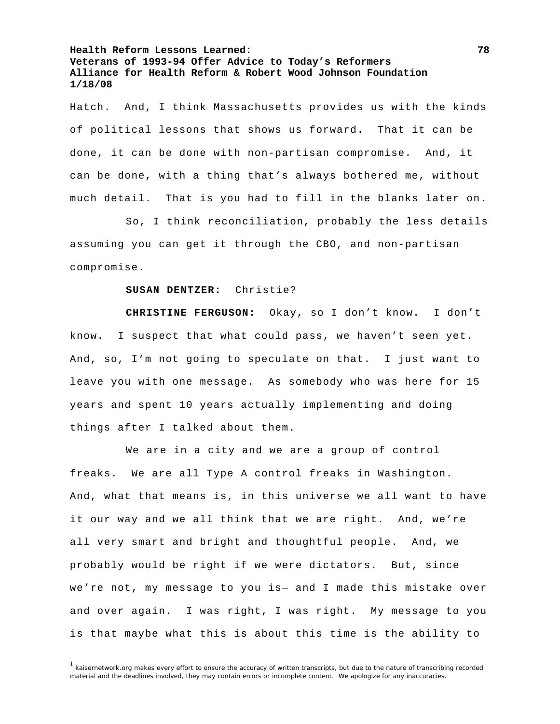Hatch. And, I think Massachusetts provides us with the kinds of political lessons that shows us forward. That it can be done, it can be done with non-partisan compromise. And, it can be done, with a thing that's always bothered me, without much detail. That is you had to fill in the blanks later on.

 So, I think reconciliation, probably the less details assuming you can get it through the CBO, and non-partisan compromise.

## **SUSAN DENTZER:** Christie?

**CHRISTINE FERGUSON:** Okay, so I don't know. I don't know. I suspect that what could pass, we haven't seen yet. And, so, I'm not going to speculate on that. I just want to leave you with one message. As somebody who was here for 15 years and spent 10 years actually implementing and doing things after I talked about them.

 We are in a city and we are a group of control freaks. We are all Type A control freaks in Washington. And, what that means is, in this universe we all want to have it our way and we all think that we are right. And, we're all very smart and bright and thoughtful people. And, we probably would be right if we were dictators. But, since we're not, my message to you is— and I made this mistake over and over again. I was right, I was right. My message to you is that maybe what this is about this time is the ability to

 $1$  kaisernetwork.org makes every effort to ensure the accuracy of written transcripts, but due to the nature of transcribing recorded material and the deadlines involved, they may contain errors or incomplete content. We apologize for any inaccuracies.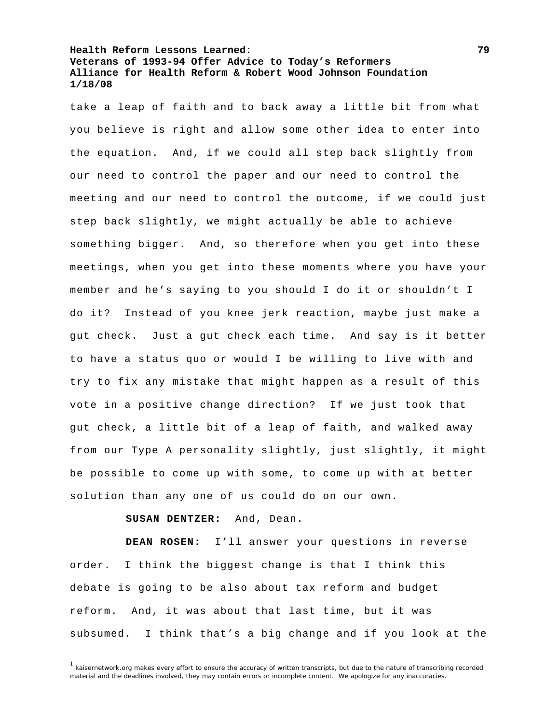take a leap of faith and to back away a little bit from what you believe is right and allow some other idea to enter into the equation. And, if we could all step back slightly from our need to control the paper and our need to control the meeting and our need to control the outcome, if we could just step back slightly, we might actually be able to achieve something bigger. And, so therefore when you get into these meetings, when you get into these moments where you have your member and he's saying to you should I do it or shouldn't I do it? Instead of you knee jerk reaction, maybe just make a gut check. Just a gut check each time. And say is it better to have a status quo or would I be willing to live with and try to fix any mistake that might happen as a result of this vote in a positive change direction? If we just took that gut check, a little bit of a leap of faith, and walked away from our Type A personality slightly, just slightly, it might be possible to come up with some, to come up with at better solution than any one of us could do on our own.

**SUSAN DENTZER:** And, Dean.

**DEAN ROSEN:** I'll answer your questions in reverse order. I think the biggest change is that I think this debate is going to be also about tax reform and budget reform. And, it was about that last time, but it was subsumed. I think that's a big change and if you look at the

 $1$  kaisernetwork.org makes every effort to ensure the accuracy of written transcripts, but due to the nature of transcribing recorded material and the deadlines involved, they may contain errors or incomplete content. We apologize for any inaccuracies.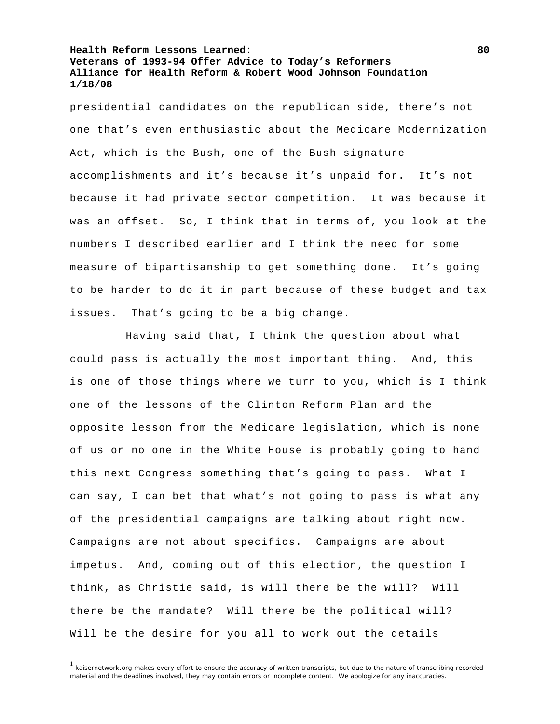presidential candidates on the republican side, there's not one that's even enthusiastic about the Medicare Modernization Act, which is the Bush, one of the Bush signature accomplishments and it's because it's unpaid for. It's not because it had private sector competition. It was because it was an offset. So, I think that in terms of, you look at the numbers I described earlier and I think the need for some measure of bipartisanship to get something done. It's going to be harder to do it in part because of these budget and tax issues. That's going to be a big change.

 Having said that, I think the question about what could pass is actually the most important thing. And, this is one of those things where we turn to you, which is I think one of the lessons of the Clinton Reform Plan and the opposite lesson from the Medicare legislation, which is none of us or no one in the White House is probably going to hand this next Congress something that's going to pass. What I can say, I can bet that what's not going to pass is what any of the presidential campaigns are talking about right now. Campaigns are not about specifics. Campaigns are about impetus. And, coming out of this election, the question I think, as Christie said, is will there be the will? Will there be the mandate? Will there be the political will? Will be the desire for you all to work out the details

<sup>1</sup> kaisernetwork.org makes every effort to ensure the accuracy of written transcripts, but due to the nature of transcribing recorded material and the deadlines involved, they may contain errors or incomplete content. We apologize for any inaccuracies.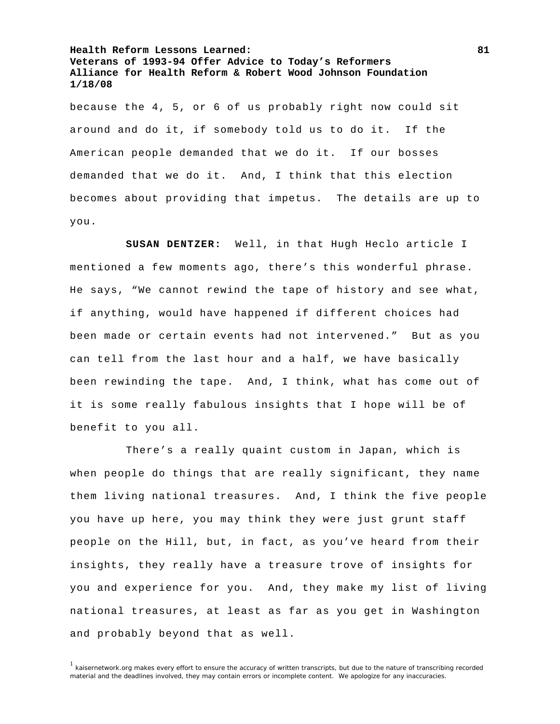because the 4, 5, or 6 of us probably right now could sit around and do it, if somebody told us to do it. If the American people demanded that we do it. If our bosses demanded that we do it. And, I think that this election becomes about providing that impetus. The details are up to you.

**SUSAN DENTZER:** Well, in that Hugh Heclo article I mentioned a few moments ago, there's this wonderful phrase. He says, "We cannot rewind the tape of history and see what, if anything, would have happened if different choices had been made or certain events had not intervened." But as you can tell from the last hour and a half, we have basically been rewinding the tape. And, I think, what has come out of it is some really fabulous insights that I hope will be of benefit to you all.

 There's a really quaint custom in Japan, which is when people do things that are really significant, they name them living national treasures. And, I think the five people you have up here, you may think they were just grunt staff people on the Hill, but, in fact, as you've heard from their insights, they really have a treasure trove of insights for you and experience for you. And, they make my list of living national treasures, at least as far as you get in Washington and probably beyond that as well.

<sup>&</sup>lt;sup>1</sup> kaisernetwork.org makes every effort to ensure the accuracy of written transcripts, but due to the nature of transcribing recorded material and the deadlines involved, they may contain errors or incomplete content. We apologize for any inaccuracies.